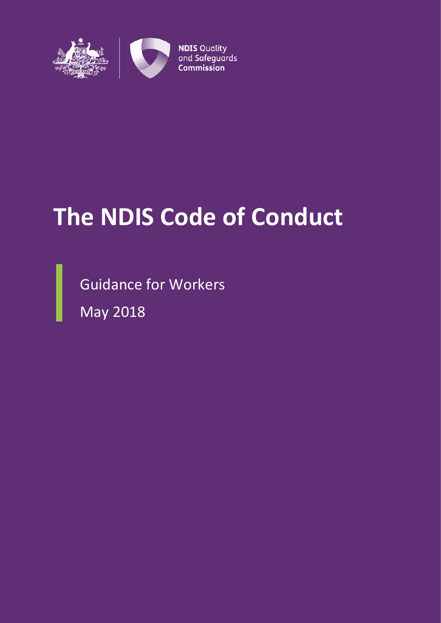

# **The NDIS Code of Conduct**

Guidance for Workers

May 2018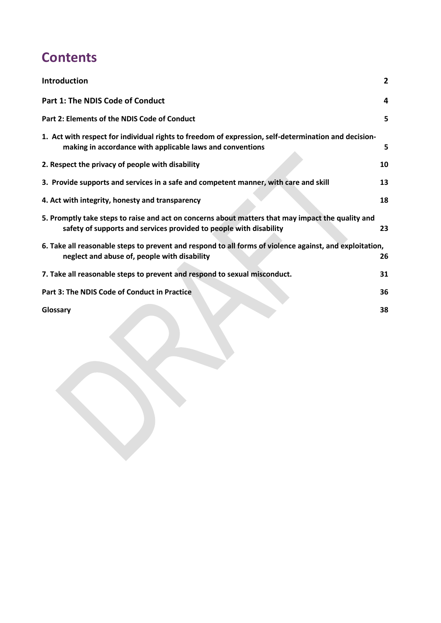# **Contents**

| Introduction                                                                                                                                                            | $\overline{2}$ |
|-------------------------------------------------------------------------------------------------------------------------------------------------------------------------|----------------|
| Part 1: The NDIS Code of Conduct                                                                                                                                        | 4              |
| Part 2: Elements of the NDIS Code of Conduct                                                                                                                            | 5              |
| 1. Act with respect for individual rights to freedom of expression, self-determination and decision-<br>making in accordance with applicable laws and conventions       | 5              |
| 2. Respect the privacy of people with disability                                                                                                                        | 10             |
| 3. Provide supports and services in a safe and competent manner, with care and skill                                                                                    | 13             |
| 4. Act with integrity, honesty and transparency                                                                                                                         | 18             |
| 5. Promptly take steps to raise and act on concerns about matters that may impact the quality and<br>safety of supports and services provided to people with disability | 23             |
| 6. Take all reasonable steps to prevent and respond to all forms of violence against, and exploitation,<br>neglect and abuse of, people with disability                 | 26             |
| 7. Take all reasonable steps to prevent and respond to sexual misconduct.                                                                                               | 31             |
| Part 3: The NDIS Code of Conduct in Practice                                                                                                                            | 36             |
| Glossary                                                                                                                                                                | 38             |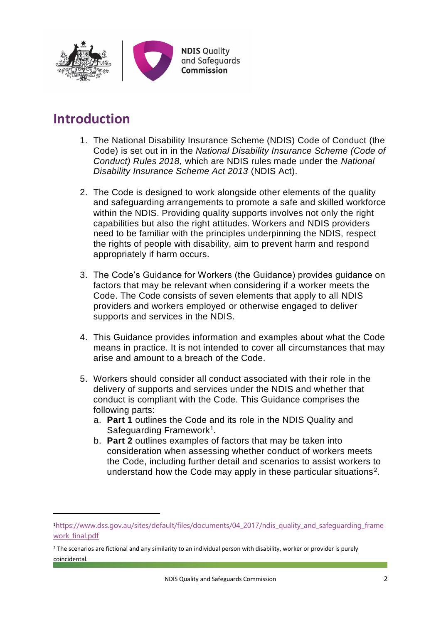

# <span id="page-2-0"></span>**Introduction**

 $\overline{a}$ 

- 1. The National Disability Insurance Scheme (NDIS) Code of Conduct (the Code) is set out in in the *National Disability Insurance Scheme (Code of Conduct) Rules 2018,* which are NDIS rules made under the *National Disability Insurance Scheme Act 2013* (NDIS Act).
- 2. The Code is designed to work alongside other elements of the quality and safeguarding arrangements to promote a safe and skilled workforce within the NDIS. Providing quality supports involves not only the right capabilities but also the right attitudes. Workers and NDIS providers need to be familiar with the principles underpinning the NDIS, respect the rights of people with disability, aim to prevent harm and respond appropriately if harm occurs.
- 3. The Code's Guidance for Workers (the Guidance) provides guidance on factors that may be relevant when considering if a worker meets the Code. The Code consists of seven elements that apply to all NDIS providers and workers employed or otherwise engaged to deliver supports and services in the NDIS.
- 4. This Guidance provides information and examples about what the Code means in practice. It is not intended to cover all circumstances that may arise and amount to a breach of the Code.
- 5. Workers should consider all conduct associated with their role in the delivery of supports and services under the NDIS and whether that conduct is compliant with the Code. This Guidance comprises the following parts:
	- a. **Part 1** outlines the Code and its role in the NDIS Quality and Safeguarding Framework<sup>1</sup>.
	- b. **Part 2** outlines examples of factors that may be taken into consideration when assessing whether conduct of workers meets the Code, including further detail and scenarios to assist workers to understand how the Code may apply in these particular situations<sup>2</sup>.

<sup>1</sup>[https://www.dss.gov.au/sites/default/files/documents/04\\_2017/ndis\\_quality\\_and\\_safeguarding\\_frame](https://www.dss.gov.au/sites/default/files/documents/04_2017/ndis_quality_and_safeguarding_framework_final.pdf) work final.pdf

<sup>&</sup>lt;sup>2</sup> The scenarios are fictional and any similarity to an individual person with disability, worker or provider is purely coincidental.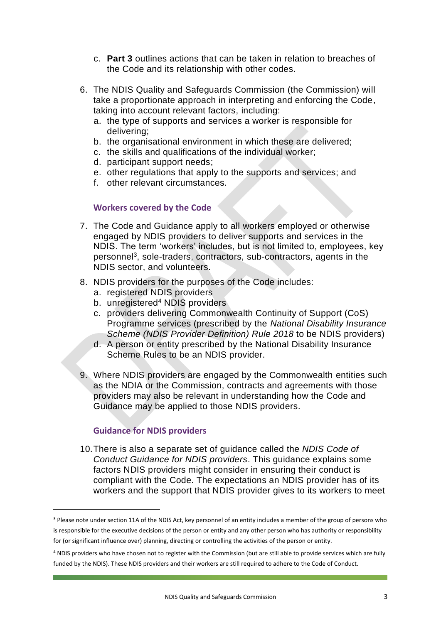- c. **Part 3** outlines actions that can be taken in relation to breaches of the Code and its relationship with other codes.
- 6. The NDIS Quality and Safeguards Commission (the Commission) will take a proportionate approach in interpreting and enforcing the Code, taking into account relevant factors, including:
	- a. the type of supports and services a worker is responsible for delivering;
	- b. the organisational environment in which these are delivered;
	- c. the skills and qualifications of the individual worker;
	- d. participant support needs;
	- e. other regulations that apply to the supports and services; and
	- f. other relevant circumstances.

#### **Workers covered by the Code**

- 7. The Code and Guidance apply to all workers employed or otherwise engaged by NDIS providers to deliver supports and services in the NDIS. The term 'workers' includes, but is not limited to, employees, key personnel<sup>3</sup>, sole-traders, contractors, sub-contractors, agents in the NDIS sector, and volunteers.
- 8. NDIS providers for the purposes of the Code includes:
	- a. registered NDIS providers
	- b. unregistered<sup>4</sup> NDIS providers
	- c. providers delivering Commonwealth Continuity of Support (CoS) Programme services (prescribed by the *National Disability Insurance Scheme (NDIS Provider Definition) Rule 2018* to be NDIS providers)
	- d. A person or entity prescribed by the National Disability Insurance Scheme Rules to be an NDIS provider.
- 9. Where NDIS providers are engaged by the Commonwealth entities such as the NDIA or the Commission, contracts and agreements with those providers may also be relevant in understanding how the Code and Guidance may be applied to those NDIS providers.

# **Guidance for NDIS providers**

**.** 

10.There is also a separate set of guidance called the *NDIS Code of Conduct Guidance for NDIS providers*. This guidance explains some factors NDIS providers might consider in ensuring their conduct is compliant with the Code. The expectations an NDIS provider has of its workers and the support that NDIS provider gives to its workers to meet

<sup>3</sup> Please note under section 11A of the NDIS Act, key personnel of an entity includes a member of the group of persons who is responsible for the executive decisions of the person or entity and any other person who has authority or responsibility for (or significant influence over) planning, directing or controlling the activities of the person or entity.

<sup>4</sup> NDIS providers who have chosen not to register with the Commission (but are still able to provide services which are fully funded by the NDIS). These NDIS providers and their workers are still required to adhere to the Code of Conduct.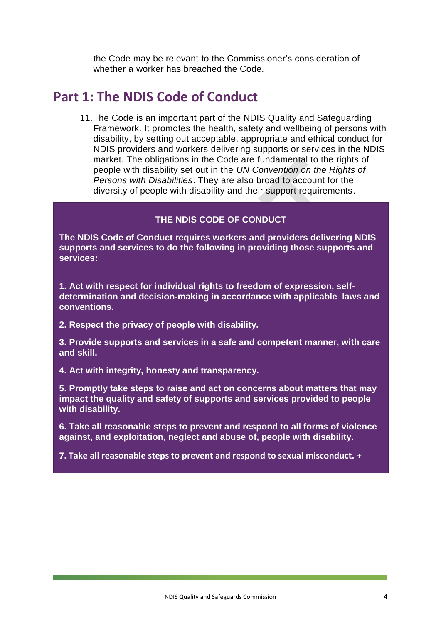the Code may be relevant to the Commissioner's consideration of whether a worker has breached the Code.

# <span id="page-4-0"></span>**Part 1: The NDIS Code of Conduct**

11.The Code is an important part of the NDIS Quality and Safeguarding Framework. It promotes the health, safety and wellbeing of persons with disability, by setting out acceptable, appropriate and ethical conduct for NDIS providers and workers delivering supports or services in the NDIS market. The obligations in the Code are fundamental to the rights of people with disability set out in the *UN Convention on the Rights of Persons with Disabilities*. They are also broad to account for the diversity of people with disability and their support requirements.

#### **THE NDIS CODE OF CONDUCT**

**The NDIS Code of Conduct requires workers and providers delivering NDIS supports and services to do the following in providing those supports and services:** 

**1. Act with respect for individual rights to freedom of expression, selfdetermination and decision-making in accordance with applicable laws and conventions.** 

**2. Respect the privacy of people with disability.** 

**3. Provide supports and services in a safe and competent manner, with care and skill.**

**4. Act with integrity, honesty and transparency.**

**5. Promptly take steps to raise and act on concerns about matters that may impact the quality and safety of supports and services provided to people with disability.**

**6. Take all reasonable steps to prevent and respond to all forms of violence against, and exploitation, neglect and abuse of, people with disability.** 

**7. Take all reasonable steps to prevent and respond to sexual misconduct. +**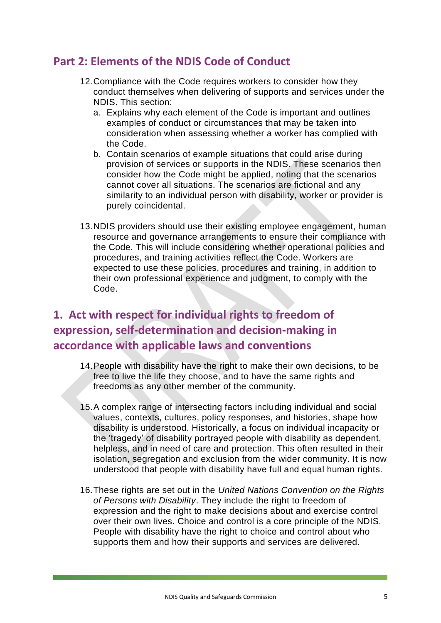# <span id="page-5-0"></span>**Part 2: Elements of the NDIS Code of Conduct**

- 12.Compliance with the Code requires workers to consider how they conduct themselves when delivering of supports and services under the NDIS. This section:
	- a. Explains why each element of the Code is important and outlines examples of conduct or circumstances that may be taken into consideration when assessing whether a worker has complied with the Code.
	- b. Contain scenarios of example situations that could arise during provision of services or supports in the NDIS. These scenarios then consider how the Code might be applied, noting that the scenarios cannot cover all situations. The scenarios are fictional and any similarity to an individual person with disability, worker or provider is purely coincidental.
- 13.NDIS providers should use their existing employee engagement, human resource and governance arrangements to ensure their compliance with the Code. This will include considering whether operational policies and procedures, and training activities reflect the Code. Workers are expected to use these policies, procedures and training, in addition to their own professional experience and judgment, to comply with the Code.

# <span id="page-5-1"></span>**1. Act with respect for individual rights to freedom of expression, self-determination and decision-making in accordance with applicable laws and conventions**

- 14.People with disability have the right to make their own decisions, to be free to live the life they choose, and to have the same rights and freedoms as any other member of the community.
- 15.A complex range of intersecting factors including individual and social values, contexts, cultures, policy responses, and histories, shape how disability is understood. Historically, a focus on individual incapacity or the 'tragedy' of disability portrayed people with disability as dependent, helpless, and in need of care and protection. This often resulted in their isolation, segregation and exclusion from the wider community. It is now understood that people with disability have full and equal human rights.
- 16.These rights are set out in the *United Nations Convention on the Rights of Persons with Disability*. They include the right to freedom of expression and the right to make decisions about and exercise control over their own lives. Choice and control is a core principle of the NDIS. People with disability have the right to choice and control about who supports them and how their supports and services are delivered.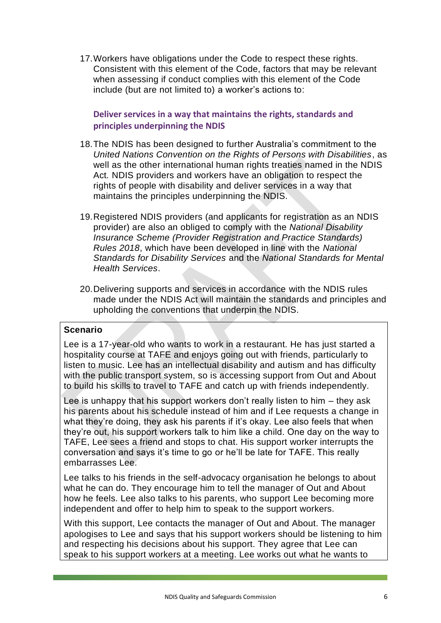17.Workers have obligations under the Code to respect these rights. Consistent with this element of the Code, factors that may be relevant when assessing if conduct complies with this element of the Code include (but are not limited to) a worker's actions to:

**Deliver services in a way that maintains the rights, standards and principles underpinning the NDIS** 

- 18.The NDIS has been designed to further Australia's commitment to the *United Nations Convention on the Rights of Persons with Disabilities*, as well as the other international human rights treaties named in the NDIS Act*.* NDIS providers and workers have an obligation to respect the rights of people with disability and deliver services in a way that maintains the principles underpinning the NDIS.
- 19.Registered NDIS providers (and applicants for registration as an NDIS provider) are also an obliged to comply with the *National Disability Insurance Scheme (Provider Registration and Practice Standards) Rules 2018*, which have been developed in line with the *National Standards for Disability Services* and the *National Standards for Mental Health Services*.
- 20.Delivering supports and services in accordance with the NDIS rules made under the NDIS Act will maintain the standards and principles and upholding the conventions that underpin the NDIS.

#### **Scenario**

Lee is a 17-year-old who wants to work in a restaurant. He has just started a hospitality course at TAFE and enjoys going out with friends, particularly to listen to music. Lee has an intellectual disability and autism and has difficulty with the public transport system, so is accessing support from Out and About to build his skills to travel to TAFE and catch up with friends independently.

Lee is unhappy that his support workers don't really listen to him – they ask his parents about his schedule instead of him and if Lee requests a change in what they're doing, they ask his parents if it's okay. Lee also feels that when they're out, his support workers talk to him like a child. One day on the way to TAFE, Lee sees a friend and stops to chat. His support worker interrupts the conversation and says it's time to go or he'll be late for TAFE. This really embarrasses Lee.

Lee talks to his friends in the self-advocacy organisation he belongs to about what he can do. They encourage him to tell the manager of Out and About how he feels. Lee also talks to his parents, who support Lee becoming more independent and offer to help him to speak to the support workers.

With this support, Lee contacts the manager of Out and About. The manager apologises to Lee and says that his support workers should be listening to him and respecting his decisions about his support. They agree that Lee can speak to his support workers at a meeting. Lee works out what he wants to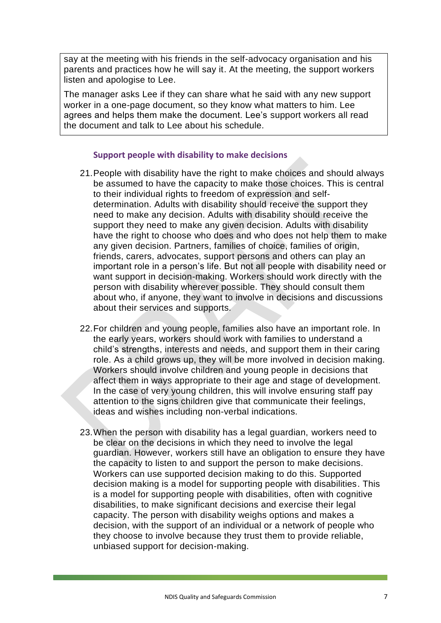say at the meeting with his friends in the self-advocacy organisation and his parents and practices how he will say it. At the meeting, the support workers listen and apologise to Lee.

The manager asks Lee if they can share what he said with any new support worker in a one-page document, so they know what matters to him. Lee agrees and helps them make the document. Lee's support workers all read the document and talk to Lee about his schedule.

#### **Support people with disability to make decisions**

- 21.People with disability have the right to make choices and should always be assumed to have the capacity to make those choices. This is central to their individual rights to freedom of expression and selfdetermination. Adults with disability should receive the support they need to make any decision. Adults with disability should receive the support they need to make any given decision. Adults with disability have the right to choose who does and who does not help them to make any given decision. Partners, families of choice, families of origin, friends, carers, advocates, support persons and others can play an important role in a person's life. But not all people with disability need or want support in decision-making. Workers should work directly with the person with disability wherever possible. They should consult them about who, if anyone, they want to involve in decisions and discussions about their services and supports.
- 22.For children and young people, families also have an important role. In the early years, workers should work with families to understand a child's strengths, interests and needs, and support them in their caring role. As a child grows up, they will be more involved in decision making. Workers should involve children and young people in decisions that affect them in ways appropriate to their age and stage of development. In the case of very young children, this will involve ensuring staff pay attention to the signs children give that communicate their feelings, ideas and wishes including non-verbal indications.
- 23.When the person with disability has a legal guardian, workers need to be clear on the decisions in which they need to involve the legal guardian. However, workers still have an obligation to ensure they have the capacity to listen to and support the person to make decisions. Workers can use supported decision making to do this. Supported decision making is a model for supporting people with disabilities. This is a model for supporting people with disabilities, often with cognitive disabilities, to make significant decisions and exercise their legal capacity. The person with disability weighs options and makes a decision, with the support of an individual or a network of people who they choose to involve because they trust them to provide reliable, unbiased support for decision-making.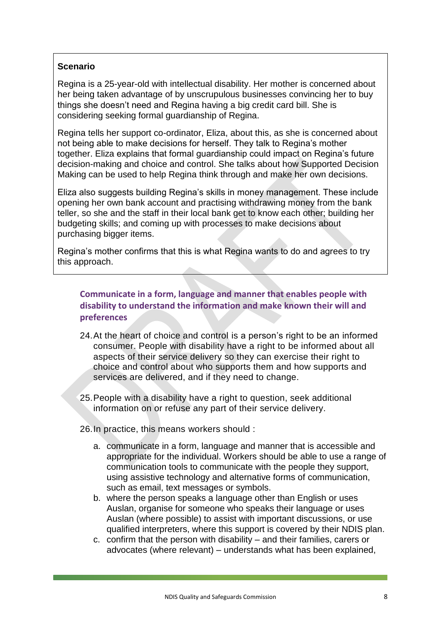Regina is a 25-year-old with intellectual disability. Her mother is concerned about her being taken advantage of by unscrupulous businesses convincing her to buy things she doesn't need and Regina having a big credit card bill. She is considering seeking formal guardianship of Regina.

Regina tells her support co-ordinator, Eliza, about this, as she is concerned about not being able to make decisions for herself. They talk to Regina's mother together. Eliza explains that formal guardianship could impact on Regina's future decision-making and choice and control. She talks about how Supported Decision Making can be used to help Regina think through and make her own decisions.

Eliza also suggests building Regina's skills in money management. These include opening her own bank account and practising withdrawing money from the bank teller, so she and the staff in their local bank get to know each other; building her budgeting skills; and coming up with processes to make decisions about purchasing bigger items.

Regina's mother confirms that this is what Regina wants to do and agrees to try this approach.

# **Communicate in a form, language and manner that enables people with disability to understand the information and make known their will and preferences**

- 24.At the heart of choice and control is a person's right to be an informed consumer. People with disability have a right to be informed about all aspects of their service delivery so they can exercise their right to choice and control about who supports them and how supports and services are delivered, and if they need to change.
- 25.People with a disability have a right to question, seek additional information on or refuse any part of their service delivery.
- 26.In practice, this means workers should :
	- a. communicate in a form, language and manner that is accessible and appropriate for the individual. Workers should be able to use a range of communication tools to communicate with the people they support, using assistive technology and alternative forms of communication, such as email, text messages or symbols.
	- b. where the person speaks a language other than English or uses Auslan, organise for someone who speaks their language or uses Auslan (where possible) to assist with important discussions, or use qualified interpreters, where this support is covered by their NDIS plan.
	- c. confirm that the person with disability and their families, carers or advocates (where relevant) – understands what has been explained,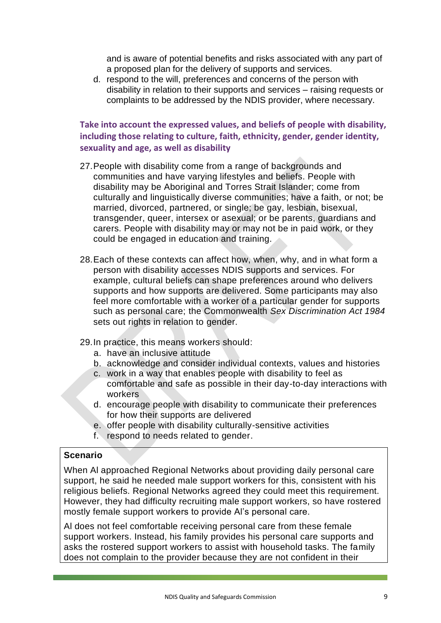and is aware of potential benefits and risks associated with any part of a proposed plan for the delivery of supports and services.

d. respond to the will, preferences and concerns of the person with disability in relation to their supports and services – raising requests or complaints to be addressed by the NDIS provider, where necessary.

# **Take into account the expressed values, and beliefs of people with disability, including those relating to culture, faith, ethnicity, gender, gender identity, sexuality and age, as well as disability**

- 27. People with disability come from a range of backgrounds and communities and have varying lifestyles and beliefs. People with disability may be Aboriginal and Torres Strait Islander; come from culturally and linguistically diverse communities; have a faith, or not; be married, divorced, partnered, or single; be gay, lesbian, bisexual, transgender, queer, intersex or asexual; or be parents, guardians and carers. People with disability may or may not be in paid work, or they could be engaged in education and training.
- 28.Each of these contexts can affect how, when, why, and in what form a person with disability accesses NDIS supports and services. For example, cultural beliefs can shape preferences around who delivers supports and how supports are delivered. Some participants may also feel more comfortable with a worker of a particular gender for supports such as personal care; the Commonwealth *Sex Discrimination Act 1984*  sets out rights in relation to gender.
- 29.In practice, this means workers should:
	- a. have an inclusive attitude
	- b. acknowledge and consider individual contexts, values and histories
	- c. work in a way that enables people with disability to feel as comfortable and safe as possible in their day-to-day interactions with workers
	- d. encourage people with disability to communicate their preferences for how their supports are delivered
	- e. offer people with disability culturally-sensitive activities
	- f. respond to needs related to gender.

#### **Scenario**

When Al approached Regional Networks about providing daily personal care support, he said he needed male support workers for this, consistent with his religious beliefs. Regional Networks agreed they could meet this requirement. However, they had difficulty recruiting male support workers, so have rostered mostly female support workers to provide Al's personal care.

Al does not feel comfortable receiving personal care from these female support workers. Instead, his family provides his personal care supports and asks the rostered support workers to assist with household tasks. The family does not complain to the provider because they are not confident in their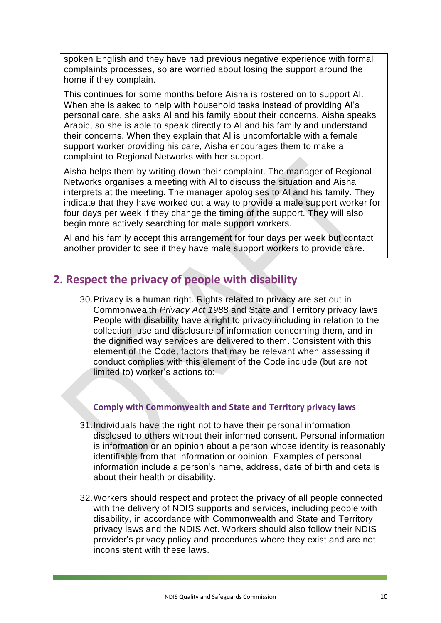spoken English and they have had previous negative experience with formal complaints processes, so are worried about losing the support around the home if they complain.

This continues for some months before Aisha is rostered on to support Al. When she is asked to help with household tasks instead of providing Al's personal care, she asks Al and his family about their concerns. Aisha speaks Arabic, so she is able to speak directly to Al and his family and understand their concerns. When they explain that Al is uncomfortable with a female support worker providing his care, Aisha encourages them to make a complaint to Regional Networks with her support.

Aisha helps them by writing down their complaint. The manager of Regional Networks organises a meeting with Al to discuss the situation and Aisha interprets at the meeting. The manager apologises to Al and his family. They indicate that they have worked out a way to provide a male support worker for four days per week if they change the timing of the support. They will also begin more actively searching for male support workers.

Al and his family accept this arrangement for four days per week but contact another provider to see if they have male support workers to provide care.

# <span id="page-10-0"></span>**2. Respect the privacy of people with disability**

30.Privacy is a human right. Rights related to privacy are set out in Commonwealth *Privacy Act 1988* and State and Territory privacy laws. People with disability have a right to privacy including in relation to the collection, use and disclosure of information concerning them, and in the dignified way services are delivered to them. Consistent with this element of the Code, factors that may be relevant when assessing if conduct complies with this element of the Code include (but are not limited to) worker's actions to:

# **Comply with Commonwealth and State and Territory privacy laws**

- 31.Individuals have the right not to have their personal information disclosed to others without their informed consent. Personal information is information or an opinion about a person whose identity is reasonably identifiable from that information or opinion. Examples of personal information include a person's name, address, date of birth and details about their health or disability.
- 32.Workers should respect and protect the privacy of all people connected with the delivery of NDIS supports and services, including people with disability, in accordance with Commonwealth and State and Territory privacy laws and the NDIS Act. Workers should also follow their NDIS provider's privacy policy and procedures where they exist and are not inconsistent with these laws.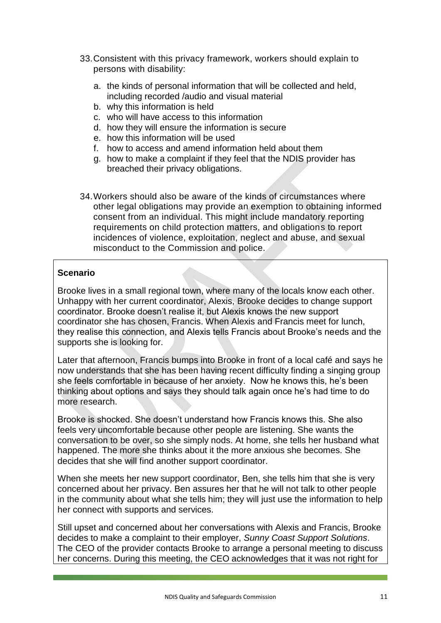- 33.Consistent with this privacy framework, workers should explain to persons with disability:
	- a. the kinds of personal information that will be collected and held, including recorded /audio and visual material
	- b. why this information is held
	- c. who will have access to this information
	- d. how they will ensure the information is secure
	- e. how this information will be used
	- f. how to access and amend information held about them
	- g. how to make a complaint if they feel that the NDIS provider has breached their privacy obligations.
- 34.Workers should also be aware of the kinds of circumstances where other legal obligations may provide an exemption to obtaining informed consent from an individual. This might include mandatory reporting requirements on child protection matters, and obligations to report incidences of violence, exploitation, neglect and abuse, and sexual misconduct to the Commission and police.

Brooke lives in a small regional town, where many of the locals know each other. Unhappy with her current coordinator, Alexis, Brooke decides to change support coordinator. Brooke doesn't realise it, but Alexis knows the new support coordinator she has chosen, Francis. When Alexis and Francis meet for lunch, they realise this connection, and Alexis tells Francis about Brooke's needs and the supports she is looking for.

Later that afternoon, Francis bumps into Brooke in front of a local café and says he now understands that she has been having recent difficulty finding a singing group she feels comfortable in because of her anxiety. Now he knows this, he's been thinking about options and says they should talk again once he's had time to do more research.

Brooke is shocked. She doesn't understand how Francis knows this. She also feels very uncomfortable because other people are listening. She wants the conversation to be over, so she simply nods. At home, she tells her husband what happened. The more she thinks about it the more anxious she becomes. She decides that she will find another support coordinator.

When she meets her new support coordinator, Ben, she tells him that she is very concerned about her privacy. Ben assures her that he will not talk to other people in the community about what she tells him; they will just use the information to help her connect with supports and services.

Still upset and concerned about her conversations with Alexis and Francis, Brooke decides to make a complaint to their employer, *Sunny Coast Support Solutions*. The CEO of the provider contacts Brooke to arrange a personal meeting to discuss her concerns. During this meeting, the CEO acknowledges that it was not right for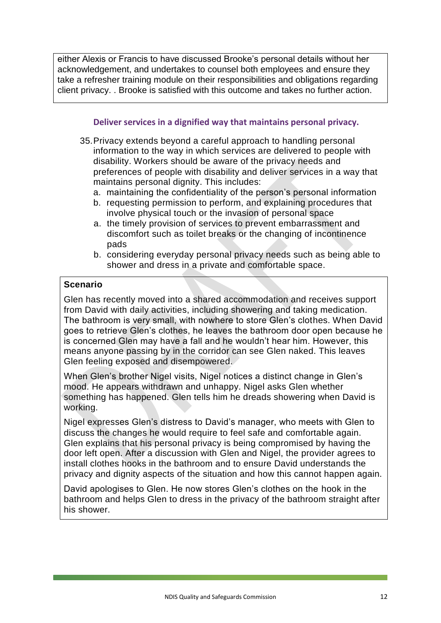either Alexis or Francis to have discussed Brooke's personal details without her acknowledgement, and undertakes to counsel both employees and ensure they take a refresher training module on their responsibilities and obligations regarding client privacy. . Brooke is satisfied with this outcome and takes no further action.

## **Deliver services in a dignified way that maintains personal privacy.**

- 35.Privacy extends beyond a careful approach to handling personal information to the way in which services are delivered to people with disability. Workers should be aware of the privacy needs and preferences of people with disability and deliver services in a way that maintains personal dignity. This includes:
	- a. maintaining the confidentiality of the person's personal information
	- b. requesting permission to perform, and explaining procedures that involve physical touch or the invasion of personal space
	- a. the timely provision of services to prevent embarrassment and discomfort such as toilet breaks or the changing of incontinence pads
	- b. considering everyday personal privacy needs such as being able to shower and dress in a private and comfortable space.

#### **Scenario**

Glen has recently moved into a shared accommodation and receives support from David with daily activities, including showering and taking medication. The bathroom is very small, with nowhere to store Glen's clothes. When David goes to retrieve Glen's clothes, he leaves the bathroom door open because he is concerned Glen may have a fall and he wouldn't hear him. However, this means anyone passing by in the corridor can see Glen naked. This leaves Glen feeling exposed and disempowered.

When Glen's brother Nigel visits, Nigel notices a distinct change in Glen's mood. He appears withdrawn and unhappy. Nigel asks Glen whether something has happened. Glen tells him he dreads showering when David is working.

Nigel expresses Glen's distress to David's manager, who meets with Glen to discuss the changes he would require to feel safe and comfortable again. Glen explains that his personal privacy is being compromised by having the door left open. After a discussion with Glen and Nigel, the provider agrees to install clothes hooks in the bathroom and to ensure David understands the privacy and dignity aspects of the situation and how this cannot happen again.

David apologises to Glen. He now stores Glen's clothes on the hook in the bathroom and helps Glen to dress in the privacy of the bathroom straight after his shower.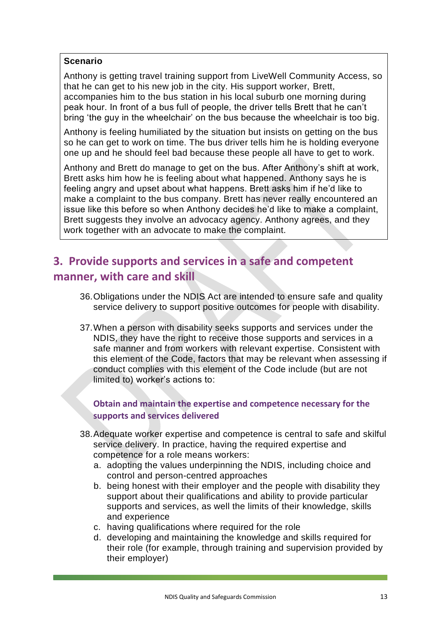Anthony is getting travel training support from LiveWell Community Access, so that he can get to his new job in the city. His support worker, Brett, accompanies him to the bus station in his local suburb one morning during peak hour. In front of a bus full of people, the driver tells Brett that he can't bring 'the guy in the wheelchair' on the bus because the wheelchair is too big.

Anthony is feeling humiliated by the situation but insists on getting on the bus so he can get to work on time. The bus driver tells him he is holding everyone one up and he should feel bad because these people all have to get to work.

Anthony and Brett do manage to get on the bus. After Anthony's shift at work, Brett asks him how he is feeling about what happened. Anthony says he is feeling angry and upset about what happens. Brett asks him if he'd like to make a complaint to the bus company. Brett has never really encountered an issue like this before so when Anthony decides he'd like to make a complaint, Brett suggests they involve an advocacy agency. Anthony agrees, and they work together with an advocate to make the complaint.

# <span id="page-13-0"></span>**3. Provide supports and services in a safe and competent manner, with care and skill**

- 36.Obligations under the NDIS Act are intended to ensure safe and quality service delivery to support positive outcomes for people with disability.
- 37.When a person with disability seeks supports and services under the NDIS, they have the right to receive those supports and services in a safe manner and from workers with relevant expertise. Consistent with this element of the Code, factors that may be relevant when assessing if conduct complies with this element of the Code include (but are not limited to) worker's actions to:

**Obtain and maintain the expertise and competence necessary for the supports and services delivered**

- 38.Adequate worker expertise and competence is central to safe and skilful service delivery. In practice, having the required expertise and competence for a role means workers:
	- a. adopting the values underpinning the NDIS, including choice and control and person-centred approaches
	- b. being honest with their employer and the people with disability they support about their qualifications and ability to provide particular supports and services, as well the limits of their knowledge, skills and experience
	- c. having qualifications where required for the role
	- d. developing and maintaining the knowledge and skills required for their role (for example, through training and supervision provided by their employer)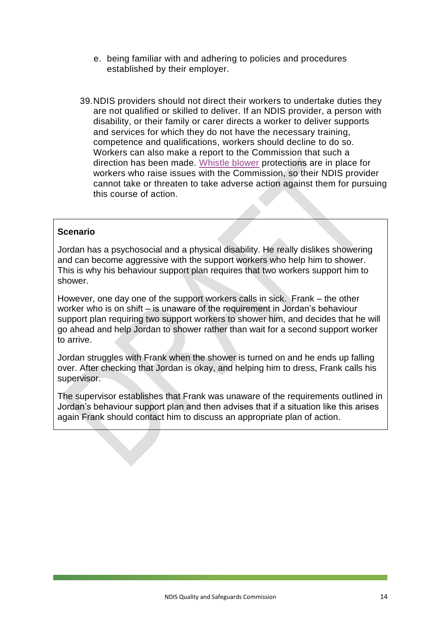- e. being familiar with and adhering to policies and procedures established by their employer.
- 39.NDIS providers should not direct their workers to undertake duties they are not qualified or skilled to deliver. If an NDIS provider, a person with disability, or their family or carer directs a worker to deliver supports and services for which they do not have the necessary training, competence and qualifications, workers should decline to do so. Workers can also make a report to the Commission that such a direction has been made. [Whistle blower](http://asic.gov.au/about-asic/asic-investigations-and-enforcement/whistleblowing/guidance-for-whistleblowers/) protections are in place for workers who raise issues with the Commission, so their NDIS provider cannot take or threaten to take adverse action against them for pursuing this course of action.

Jordan has a psychosocial and a physical disability. He really dislikes showering and can become aggressive with the support workers who help him to shower. This is why his behaviour support plan requires that two workers support him to shower.

However, one day one of the support workers calls in sick. Frank – the other worker who is on shift – is unaware of the requirement in Jordan's behaviour support plan requiring two support workers to shower him, and decides that he will go ahead and help Jordan to shower rather than wait for a second support worker to arrive.

Jordan struggles with Frank when the shower is turned on and he ends up falling over. After checking that Jordan is okay, and helping him to dress, Frank calls his supervisor.

The supervisor establishes that Frank was unaware of the requirements outlined in Jordan's behaviour support plan and then advises that if a situation like this arises again Frank should contact him to discuss an appropriate plan of action.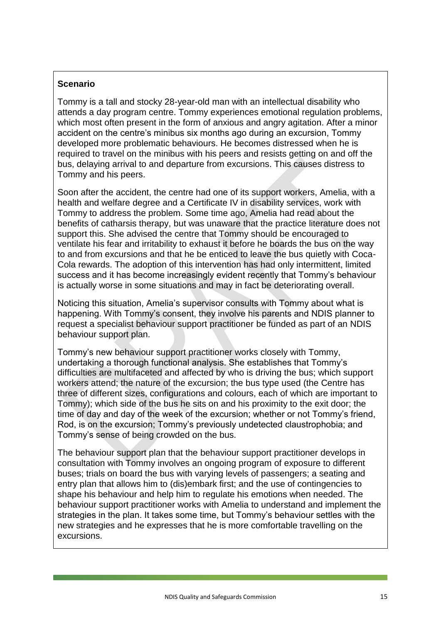Tommy is a tall and stocky 28-year-old man with an intellectual disability who attends a day program centre. Tommy experiences emotional regulation problems, which most often present in the form of anxious and angry agitation. After a minor accident on the centre's minibus six months ago during an excursion, Tommy developed more problematic behaviours. He becomes distressed when he is required to travel on the minibus with his peers and resists getting on and off the bus, delaying arrival to and departure from excursions. This causes distress to Tommy and his peers.

Soon after the accident, the centre had one of its support workers, Amelia, with a health and welfare degree and a Certificate IV in disability services, work with Tommy to address the problem. Some time ago, Amelia had read about the benefits of catharsis therapy, but was unaware that the practice literature does not support this. She advised the centre that Tommy should be encouraged to ventilate his fear and irritability to exhaust it before he boards the bus on the way to and from excursions and that he be enticed to leave the bus quietly with Coca-Cola rewards. The adoption of this intervention has had only intermittent, limited success and it has become increasingly evident recently that Tommy's behaviour is actually worse in some situations and may in fact be deteriorating overall.

Noticing this situation, Amelia's supervisor consults with Tommy about what is happening. With Tommy's consent, they involve his parents and NDIS planner to request a specialist behaviour support practitioner be funded as part of an NDIS behaviour support plan.

Tommy's new behaviour support practitioner works closely with Tommy, undertaking a thorough functional analysis. She establishes that Tommy's difficulties are multifaceted and affected by who is driving the bus; which support workers attend; the nature of the excursion; the bus type used (the Centre has three of different sizes, configurations and colours, each of which are important to Tommy); which side of the bus he sits on and his proximity to the exit door; the time of day and day of the week of the excursion; whether or not Tommy's friend, Rod, is on the excursion; Tommy's previously undetected claustrophobia; and Tommy's sense of being crowded on the bus.

The behaviour support plan that the behaviour support practitioner develops in consultation with Tommy involves an ongoing program of exposure to different buses; trials on board the bus with varying levels of passengers; a seating and entry plan that allows him to (dis)embark first; and the use of contingencies to shape his behaviour and help him to regulate his emotions when needed. The behaviour support practitioner works with Amelia to understand and implement the strategies in the plan. It takes some time, but Tommy's behaviour settles with the new strategies and he expresses that he is more comfortable travelling on the excursions.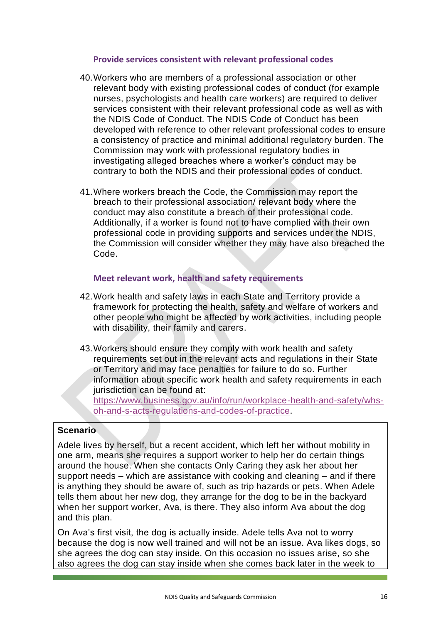#### **Provide services consistent with relevant professional codes**

- 40.Workers who are members of a professional association or other relevant body with existing professional codes of conduct (for example nurses, psychologists and health care workers) are required to deliver services consistent with their relevant professional code as well as with the NDIS Code of Conduct. The NDIS Code of Conduct has been developed with reference to other relevant professional codes to ensure a consistency of practice and minimal additional regulatory burden. The Commission may work with professional regulatory bodies in investigating alleged breaches where a worker's conduct may be contrary to both the NDIS and their professional codes of conduct.
- 41.Where workers breach the Code, the Commission may report the breach to their professional association/ relevant body where the conduct may also constitute a breach of their professional code. Additionally, if a worker is found not to have complied with their own professional code in providing supports and services under the NDIS, the Commission will consider whether they may have also breached the Code.

## **Meet relevant work, health and safety requirements**

- 42.Work health and safety laws in each State and Territory provide a framework for protecting the health, safety and welfare of workers and other people who might be affected by work activities, including people with disability, their family and carers.
- 43.Workers should ensure they comply with work health and safety requirements set out in the relevant acts and regulations in their State or Territory and may face penalties for failure to do so. Further information about specific work health and safety requirements in each jurisdiction can be found at:

[https://www.business.gov.au/info/run/workplace-health-and-safety/whs](https://www.business.gov.au/info/run/workplace-health-and-safety/whs-oh-and-s-acts-regulations-and-codes-of-practice)[oh-and-s-acts-regulations-and-codes-of-practice.](https://www.business.gov.au/info/run/workplace-health-and-safety/whs-oh-and-s-acts-regulations-and-codes-of-practice)

#### **Scenario**

Adele lives by herself, but a recent accident, which left her without mobility in one arm, means she requires a support worker to help her do certain things around the house. When she contacts Only Caring they ask her about her support needs – which are assistance with cooking and cleaning – and if there is anything they should be aware of, such as trip hazards or pets. When Adele tells them about her new dog, they arrange for the dog to be in the backyard when her support worker, Ava, is there. They also inform Ava about the dog and this plan.

On Ava's first visit, the dog is actually inside. Adele tells Ava not to worry because the dog is now well trained and will not be an issue. Ava likes dogs, so she agrees the dog can stay inside. On this occasion no issues arise, so she also agrees the dog can stay inside when she comes back later in the week to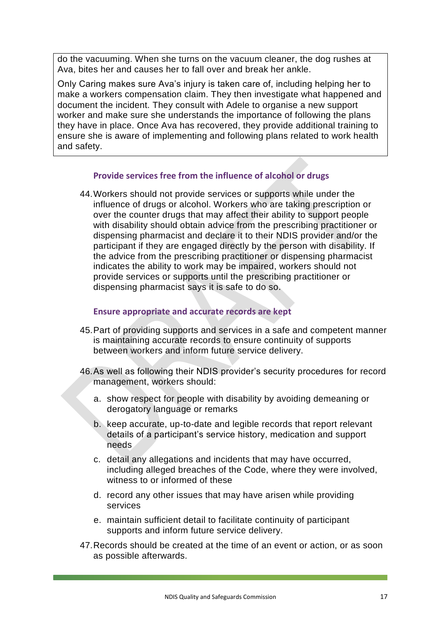do the vacuuming. When she turns on the vacuum cleaner, the dog rushes at Ava, bites her and causes her to fall over and break her ankle.

Only Caring makes sure Ava's injury is taken care of, including helping her to make a workers compensation claim. They then investigate what happened and document the incident. They consult with Adele to organise a new support worker and make sure she understands the importance of following the plans they have in place. Once Ava has recovered, they provide additional training to ensure she is aware of implementing and following plans related to work health and safety.

#### **Provide services free from the influence of alcohol or drugs**

44.Workers should not provide services or supports while under the influence of drugs or alcohol. Workers who are taking prescription or over the counter drugs that may affect their ability to support people with disability should obtain advice from the prescribing practitioner or dispensing pharmacist and declare it to their NDIS provider and/or the participant if they are engaged directly by the person with disability. If the advice from the prescribing practitioner or dispensing pharmacist indicates the ability to work may be impaired, workers should not provide services or supports until the prescribing practitioner or dispensing pharmacist says it is safe to do so.

#### **Ensure appropriate and accurate records are kept**

- 45.Part of providing supports and services in a safe and competent manner is maintaining accurate records to ensure continuity of supports between workers and inform future service delivery.
- 46.As well as following their NDIS provider's security procedures for record management, workers should:
	- a. show respect for people with disability by avoiding demeaning or derogatory language or remarks
	- b. keep accurate, up-to-date and legible records that report relevant details of a participant's service history, medication and support needs
	- c. detail any allegations and incidents that may have occurred, including alleged breaches of the Code, where they were involved, witness to or informed of these
	- d. record any other issues that may have arisen while providing services
	- e. maintain sufficient detail to facilitate continuity of participant supports and inform future service delivery.
- 47.Records should be created at the time of an event or action, or as soon as possible afterwards.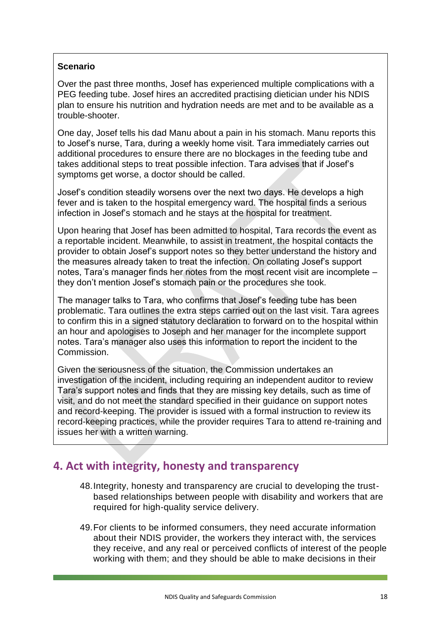Over the past three months, Josef has experienced multiple complications with a PEG feeding tube. Josef hires an accredited practising dietician under his NDIS plan to ensure his nutrition and hydration needs are met and to be available as a trouble-shooter.

One day, Josef tells his dad Manu about a pain in his stomach. Manu reports this to Josef's nurse, Tara, during a weekly home visit. Tara immediately carries out additional procedures to ensure there are no blockages in the feeding tube and takes additional steps to treat possible infection. Tara advises that if Josef's symptoms get worse, a doctor should be called.

Josef's condition steadily worsens over the next two days. He develops a high fever and is taken to the hospital emergency ward. The hospital finds a serious infection in Josef's stomach and he stays at the hospital for treatment.

Upon hearing that Josef has been admitted to hospital, Tara records the event as a reportable incident. Meanwhile, to assist in treatment, the hospital contacts the provider to obtain Josef's support notes so they better understand the history and the measures already taken to treat the infection. On collating Josef's support notes, Tara's manager finds her notes from the most recent visit are incomplete – they don't mention Josef's stomach pain or the procedures she took.

The manager talks to Tara, who confirms that Josef's feeding tube has been problematic. Tara outlines the extra steps carried out on the last visit. Tara agrees to confirm this in a signed statutory declaration to forward on to the hospital within an hour and apologises to Joseph and her manager for the incomplete support notes. Tara's manager also uses this information to report the incident to the Commission.

Given the seriousness of the situation, the Commission undertakes an investigation of the incident, including requiring an independent auditor to review Tara's support notes and finds that they are missing key details, such as time of visit, and do not meet the standard specified in their guidance on support notes and record-keeping. The provider is issued with a formal instruction to review its record-keeping practices, while the provider requires Tara to attend re-training and issues her with a written warning.

# <span id="page-18-0"></span>**4. Act with integrity, honesty and transparency**

- 48.Integrity, honesty and transparency are crucial to developing the trustbased relationships between people with disability and workers that are required for high-quality service delivery.
- 49.For clients to be informed consumers, they need accurate information about their NDIS provider, the workers they interact with, the services they receive, and any real or perceived conflicts of interest of the people working with them; and they should be able to make decisions in their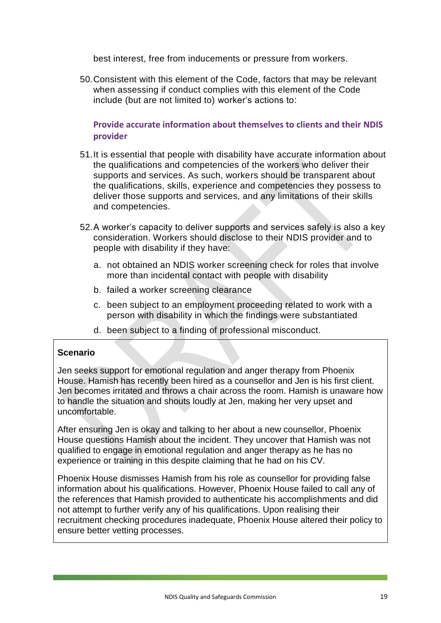best interest, free from inducements or pressure from workers.

50.Consistent with this element of the Code, factors that may be relevant when assessing if conduct complies with this element of the Code include (but are not limited to) worker's actions to:

**Provide accurate information about themselves to clients and their NDIS provider**

- 51.It is essential that people with disability have accurate information about the qualifications and competencies of the workers who deliver their supports and services. As such, workers should be transparent about the qualifications, skills, experience and competencies they possess to deliver those supports and services, and any limitations of their skills and competencies.
- 52.A worker's capacity to deliver supports and services safely is also a key consideration. Workers should disclose to their NDIS provider and to people with disability if they have:
	- a. not obtained an NDIS worker screening check for roles that involve more than incidental contact with people with disability
	- b. failed a worker screening clearance
	- c. been subject to an employment proceeding related to work with a person with disability in which the findings were substantiated
	- d. been subject to a finding of professional misconduct.

#### **Scenario**

Jen seeks support for emotional regulation and anger therapy from Phoenix House. Hamish has recently been hired as a counsellor and Jen is his first client. Jen becomes irritated and throws a chair across the room. Hamish is unaware how to handle the situation and shouts loudly at Jen, making her very upset and uncomfortable.

After ensuring Jen is okay and talking to her about a new counsellor, Phoenix House questions Hamish about the incident. They uncover that Hamish was not qualified to engage in emotional regulation and anger therapy as he has no experience or training in this despite claiming that he had on his CV.

Phoenix House dismisses Hamish from his role as counsellor for providing false information about his qualifications. However, Phoenix House failed to call any of the references that Hamish provided to authenticate his accomplishments and did not attempt to further verify any of his qualifications. Upon realising their recruitment checking procedures inadequate, Phoenix House altered their policy to ensure better vetting processes.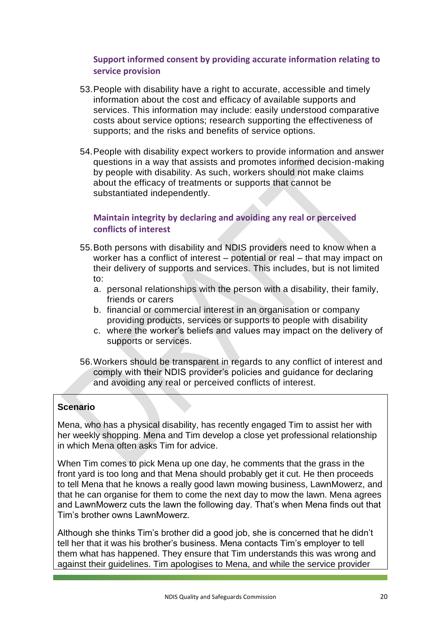# **Support informed consent by providing accurate information relating to service provision**

- 53.People with disability have a right to accurate, accessible and timely information about the cost and efficacy of available supports and services. This information may include: easily understood comparative costs about service options; research supporting the effectiveness of supports; and the risks and benefits of service options.
- 54.People with disability expect workers to provide information and answer questions in a way that assists and promotes informed decision-making by people with disability. As such, workers should not make claims about the efficacy of treatments or supports that cannot be substantiated independently.

# **Maintain integrity by declaring and avoiding any real or perceived conflicts of interest**

- 55.Both persons with disability and NDIS providers need to know when a worker has a conflict of interest – potential or real – that may impact on their delivery of supports and services. This includes, but is not limited to:
	- a. personal relationships with the person with a disability, their family, friends or carers
	- b. financial or commercial interest in an organisation or company providing products, services or supports to people with disability
	- c. where the worker's beliefs and values may impact on the delivery of supports or services.
- 56.Workers should be transparent in regards to any conflict of interest and comply with their NDIS provider's policies and guidance for declaring and avoiding any real or perceived conflicts of interest.

# **Scenario**

Mena, who has a physical disability, has recently engaged Tim to assist her with her weekly shopping. Mena and Tim develop a close yet professional relationship in which Mena often asks Tim for advice.

When Tim comes to pick Mena up one day, he comments that the grass in the front yard is too long and that Mena should probably get it cut. He then proceeds to tell Mena that he knows a really good lawn mowing business, LawnMowerz, and that he can organise for them to come the next day to mow the lawn. Mena agrees and LawnMowerz cuts the lawn the following day. That's when Mena finds out that Tim's brother owns LawnMowerz.

Although she thinks Tim's brother did a good job, she is concerned that he didn't tell her that it was his brother's business. Mena contacts Tim's employer to tell them what has happened. They ensure that Tim understands this was wrong and against their guidelines. Tim apologises to Mena, and while the service provider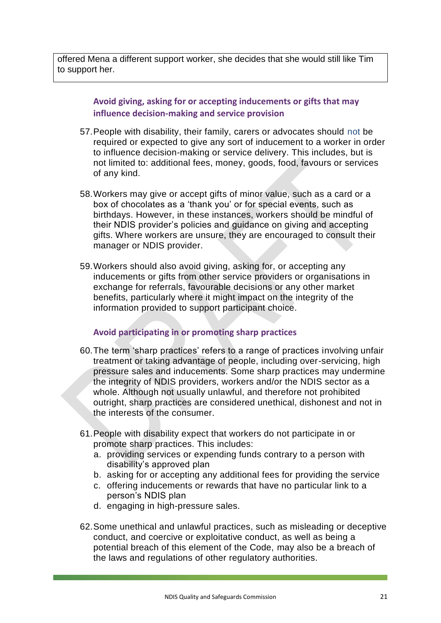offered Mena a different support worker, she decides that she would still like Tim to support her.

> **Avoid giving, asking for or accepting inducements or gifts that may influence decision-making and service provision**

- 57.People with disability, their family, carers or advocates should not be required or expected to give any sort of inducement to a worker in order to influence decision-making or service delivery. This includes, but is not limited to: additional fees, money, goods, food, favours or services of any kind.
- 58.Workers may give or accept gifts of minor value, such as a card or a box of chocolates as a 'thank you' or for special events, such as birthdays. However, in these instances, workers should be mindful of their NDIS provider's policies and guidance on giving and accepting gifts. Where workers are unsure, they are encouraged to consult their manager or NDIS provider.
- 59.Workers should also avoid giving, asking for, or accepting any inducements or gifts from other service providers or organisations in exchange for referrals, favourable decisions or any other market benefits, particularly where it might impact on the integrity of the information provided to support participant choice.

#### **Avoid participating in or promoting sharp practices**

- 60.The term 'sharp practices' refers to a range of practices involving unfair treatment or taking advantage of people, including over-servicing, high pressure sales and inducements. Some sharp practices may undermine the integrity of NDIS providers, workers and/or the NDIS sector as a whole. Although not usually unlawful, and therefore not prohibited outright, sharp practices are considered unethical, dishonest and not in the interests of the consumer.
- 61.People with disability expect that workers do not participate in or promote sharp practices. This includes:
	- a. providing services or expending funds contrary to a person with disability's approved plan
	- b. asking for or accepting any additional fees for providing the service
	- c. offering inducements or rewards that have no particular link to a person's NDIS plan
	- d. engaging in high-pressure sales.
- 62.Some unethical and unlawful practices, such as misleading or deceptive conduct, and coercive or exploitative conduct, as well as being a potential breach of this element of the Code, may also be a breach of the laws and regulations of other regulatory authorities.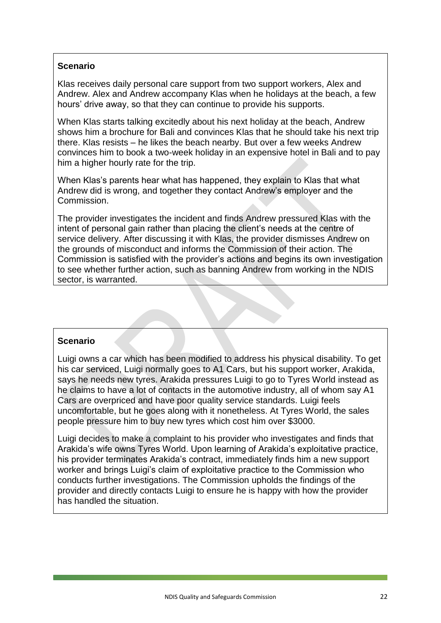Klas receives daily personal care support from two support workers, Alex and Andrew. Alex and Andrew accompany Klas when he holidays at the beach, a few hours' drive away, so that they can continue to provide his supports.

When Klas starts talking excitedly about his next holiday at the beach, Andrew shows him a brochure for Bali and convinces Klas that he should take his next trip there. Klas resists – he likes the beach nearby. But over a few weeks Andrew convinces him to book a two-week holiday in an expensive hotel in Bali and to pay him a higher hourly rate for the trip.

When Klas's parents hear what has happened, they explain to Klas that what Andrew did is wrong, and together they contact Andrew's employer and the Commission.

The provider investigates the incident and finds Andrew pressured Klas with the intent of personal gain rather than placing the client's needs at the centre of service delivery. After discussing it with Klas, the provider dismisses Andrew on the grounds of misconduct and informs the Commission of their action. The Commission is satisfied with the provider's actions and begins its own investigation to see whether further action, such as banning Andrew from working in the NDIS sector, is warranted.

#### **Scenario**

Luigi owns a car which has been modified to address his physical disability. To get his car serviced, Luigi normally goes to A1 Cars, but his support worker, Arakida, says he needs new tyres. Arakida pressures Luigi to go to Tyres World instead as he claims to have a lot of contacts in the automotive industry, all of whom say A1 Cars are overpriced and have poor quality service standards. Luigi feels uncomfortable, but he goes along with it nonetheless. At Tyres World, the sales people pressure him to buy new tyres which cost him over \$3000.

Luigi decides to make a complaint to his provider who investigates and finds that Arakida's wife owns Tyres World. Upon learning of Arakida's exploitative practice, his provider terminates Arakida's contract, immediately finds him a new support worker and brings Luigi's claim of exploitative practice to the Commission who conducts further investigations. The Commission upholds the findings of the provider and directly contacts Luigi to ensure he is happy with how the provider has handled the situation.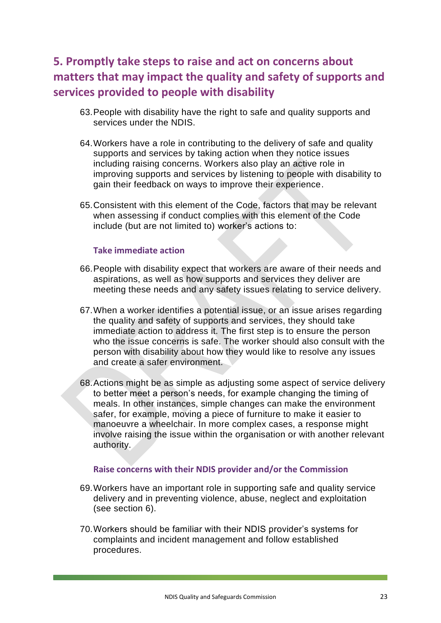# <span id="page-23-0"></span>**5. Promptly take steps to raise and act on concerns about matters that may impact the quality and safety of supports and services provided to people with disability**

- 63.People with disability have the right to safe and quality supports and services under the NDIS.
- 64.Workers have a role in contributing to the delivery of safe and quality supports and services by taking action when they notice issues including raising concerns. Workers also play an active role in improving supports and services by listening to people with disability to gain their feedback on ways to improve their experience.
- 65.Consistent with this element of the Code, factors that may be relevant when assessing if conduct complies with this element of the Code include (but are not limited to) worker's actions to:

#### **Take immediate action**

- 66.People with disability expect that workers are aware of their needs and aspirations, as well as how supports and services they deliver are meeting these needs and any safety issues relating to service delivery.
- 67.When a worker identifies a potential issue, or an issue arises regarding the quality and safety of supports and services, they should take immediate action to address it. The first step is to ensure the person who the issue concerns is safe. The worker should also consult with the person with disability about how they would like to resolve any issues and create a safer environment.
- 68.Actions might be as simple as adjusting some aspect of service delivery to better meet a person's needs, for example changing the timing of meals. In other instances, simple changes can make the environment safer, for example, moving a piece of furniture to make it easier to manoeuvre a wheelchair. In more complex cases, a response might involve raising the issue within the organisation or with another relevant authority.

#### **Raise concerns with their NDIS provider and/or the Commission**

- 69.Workers have an important role in supporting safe and quality service delivery and in preventing violence, abuse, neglect and exploitation (see section 6).
- 70.Workers should be familiar with their NDIS provider's systems for complaints and incident management and follow established procedures.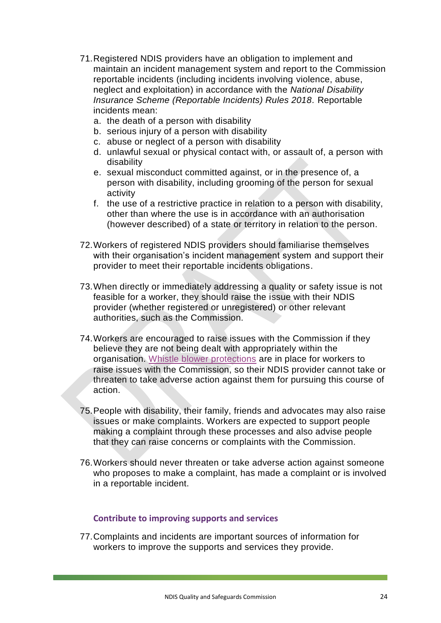- 71.Registered NDIS providers have an obligation to implement and maintain an incident management system and report to the Commission reportable incidents (including incidents involving violence, abuse, neglect and exploitation) in accordance with the *National Disability Insurance Scheme (Reportable Incidents) Rules 2018.* Reportable incidents mean:
	- a. the death of a person with disability
	- b. serious injury of a person with disability
	- c. abuse or neglect of a person with disability
	- d. unlawful sexual or physical contact with, or assault of, a person with disability
	- e. sexual misconduct committed against, or in the presence of, a person with disability, including grooming of the person for sexual activity
	- f. the use of a restrictive practice in relation to a person with disability, other than where the use is in accordance with an authorisation (however described) of a state or territory in relation to the person.
- 72.Workers of registered NDIS providers should familiarise themselves with their organisation's incident management system and support their provider to meet their reportable incidents obligations.
- 73.When directly or immediately addressing a quality or safety issue is not feasible for a worker, they should raise the issue with their NDIS provider (whether registered or unregistered) or other relevant authorities, such as the Commission.
- 74.Workers are encouraged to raise issues with the Commission if they believe they are not being dealt with appropriately within the organisation. [Whistle blower protections](file://///ARTDSBS/PROJECTS/1%20Projects%20current/Z2741%20-%20NDIS%20Workers%20&%20Providers%20COC%20Review/Work%20in%20progress/7.%20post%20workshop%20revisions/(http:/asic.gov.au/about-asic/asic-investigations-and-enforcement/whistleblowing/guidance-for-whistleblowers/).) are in place for workers to raise issues with the Commission, so their NDIS provider cannot take or threaten to take adverse action against them for pursuing this course of action.
- 75.People with disability, their family, friends and advocates may also raise issues or make complaints. Workers are expected to support people making a complaint through these processes and also advise people that they can raise concerns or complaints with the Commission.
- 76.Workers should never threaten or take adverse action against someone who proposes to make a complaint, has made a complaint or is involved in a reportable incident.

#### **Contribute to improving supports and services**

77.Complaints and incidents are important sources of information for workers to improve the supports and services they provide.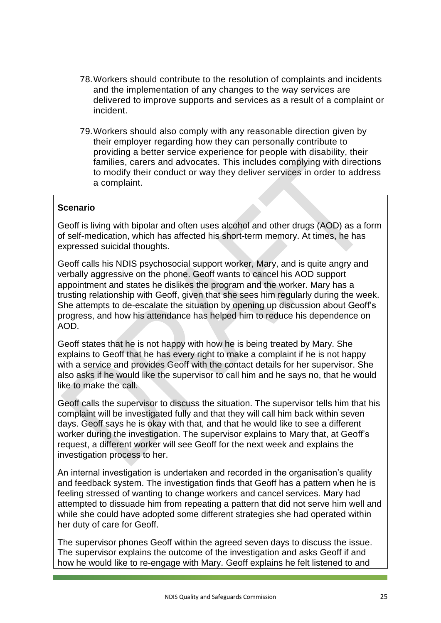- 78.Workers should contribute to the resolution of complaints and incidents and the implementation of any changes to the way services are delivered to improve supports and services as a result of a complaint or incident.
- 79.Workers should also comply with any reasonable direction given by their employer regarding how they can personally contribute to providing a better service experience for people with disability, their families, carers and advocates. This includes complying with directions to modify their conduct or way they deliver services in order to address a complaint.

Geoff is living with bipolar and often uses alcohol and other drugs (AOD) as a form of self-medication, which has affected his short-term memory. At times, he has expressed suicidal thoughts.

Geoff calls his NDIS psychosocial support worker, Mary, and is quite angry and verbally aggressive on the phone. Geoff wants to cancel his AOD support appointment and states he dislikes the program and the worker. Mary has a trusting relationship with Geoff, given that she sees him regularly during the week. She attempts to de-escalate the situation by opening up discussion about Geoff's progress, and how his attendance has helped him to reduce his dependence on AOD.

Geoff states that he is not happy with how he is being treated by Mary. She explains to Geoff that he has every right to make a complaint if he is not happy with a service and provides Geoff with the contact details for her supervisor. She also asks if he would like the supervisor to call him and he says no, that he would like to make the call.

Geoff calls the supervisor to discuss the situation. The supervisor tells him that his complaint will be investigated fully and that they will call him back within seven days. Geoff says he is okay with that, and that he would like to see a different worker during the investigation. The supervisor explains to Mary that, at Geoff's request, a different worker will see Geoff for the next week and explains the investigation process to her.

An internal investigation is undertaken and recorded in the organisation's quality and feedback system. The investigation finds that Geoff has a pattern when he is feeling stressed of wanting to change workers and cancel services. Mary had attempted to dissuade him from repeating a pattern that did not serve him well and while she could have adopted some different strategies she had operated within her duty of care for Geoff.

The supervisor phones Geoff within the agreed seven days to discuss the issue. The supervisor explains the outcome of the investigation and asks Geoff if and how he would like to re-engage with Mary. Geoff explains he felt listened to and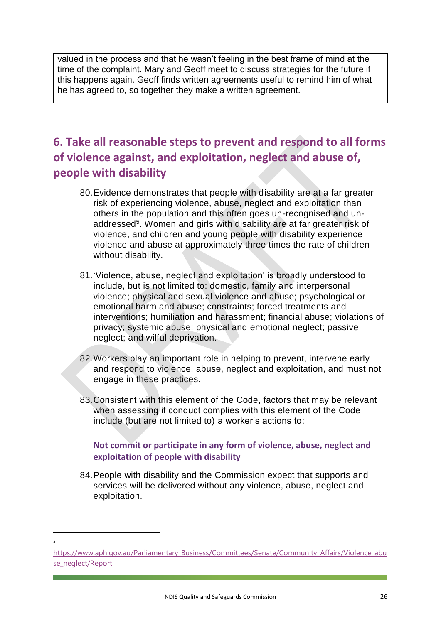valued in the process and that he wasn't feeling in the best frame of mind at the time of the complaint. Mary and Geoff meet to discuss strategies for the future if this happens again. Geoff finds written agreements useful to remind him of what he has agreed to, so together they make a written agreement.

# <span id="page-26-0"></span>**6. Take all reasonable steps to prevent and respond to all forms of violence against, and exploitation, neglect and abuse of, people with disability**

- 80.Evidence demonstrates that people with disability are at a far greater risk of experiencing violence, abuse, neglect and exploitation than others in the population and this often goes un-recognised and unaddressed<sup>5</sup>. Women and girls with disability are at far greater risk of violence, and children and young people with disability experience violence and abuse at approximately three times the rate of children without disability.
- 81.'Violence, abuse, neglect and exploitation' is broadly understood to include, but is not limited to: domestic, family and interpersonal violence; physical and sexual violence and abuse; psychological or emotional harm and abuse; constraints; forced treatments and interventions; humiliation and harassment; financial abuse; violations of privacy; systemic abuse; physical and emotional neglect; passive neglect; and wilful deprivation.
- 82.Workers play an important role in helping to prevent, intervene early and respond to violence, abuse, neglect and exploitation, and must not engage in these practices.
- 83.Consistent with this element of the Code, factors that may be relevant when assessing if conduct complies with this element of the Code include (but are not limited to) a worker's actions to:

## **Not commit or participate in any form of violence, abuse, neglect and exploitation of people with disability**

84.People with disability and the Commission expect that supports and services will be delivered without any violence, abuse, neglect and exploitation.

**<sup>.</sup>** 5

[https://www.aph.gov.au/Parliamentary\\_Business/Committees/Senate/Community\\_Affairs/Violence\\_abu](https://www.aph.gov.au/Parliamentary_Business/Committees/Senate/Community_Affairs/Violence_abuse_neglect/Report) [se\\_neglect/Report](https://www.aph.gov.au/Parliamentary_Business/Committees/Senate/Community_Affairs/Violence_abuse_neglect/Report)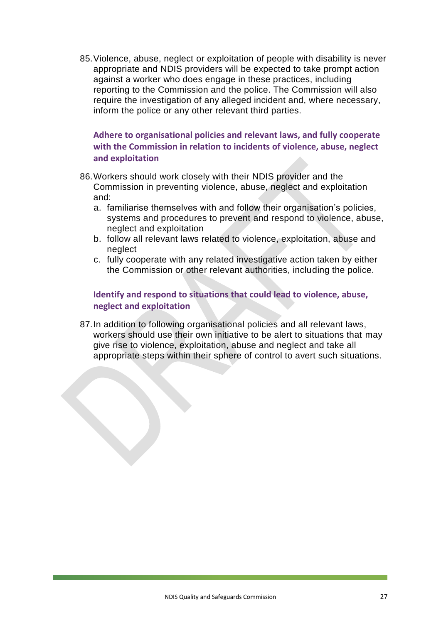85.Violence, abuse, neglect or exploitation of people with disability is never appropriate and NDIS providers will be expected to take prompt action against a worker who does engage in these practices, including reporting to the Commission and the police. The Commission will also require the investigation of any alleged incident and, where necessary, inform the police or any other relevant third parties.

**Adhere to organisational policies and relevant laws, and fully cooperate with the Commission in relation to incidents of violence, abuse, neglect and exploitation**

- 86.Workers should work closely with their NDIS provider and the Commission in preventing violence, abuse, neglect and exploitation and:
	- a. familiarise themselves with and follow their organisation's policies, systems and procedures to prevent and respond to violence, abuse, neglect and exploitation
	- b. follow all relevant laws related to violence, exploitation, abuse and neglect
	- c. fully cooperate with any related investigative action taken by either the Commission or other relevant authorities, including the police.

# **Identify and respond to situations that could lead to violence, abuse, neglect and exploitation**

87.In addition to following organisational policies and all relevant laws, workers should use their own initiative to be alert to situations that may give rise to violence, exploitation, abuse and neglect and take all appropriate steps within their sphere of control to avert such situations.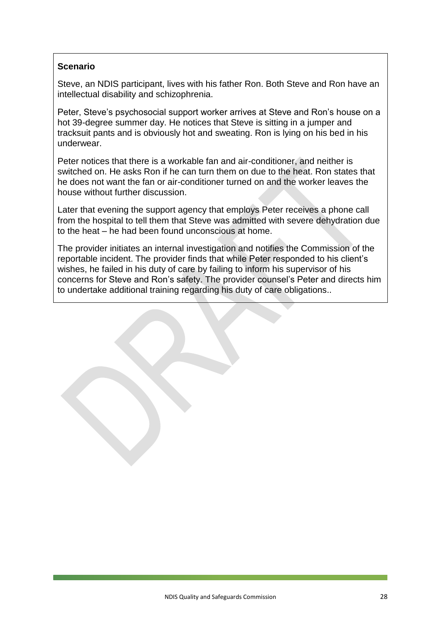Steve, an NDIS participant, lives with his father Ron. Both Steve and Ron have an intellectual disability and schizophrenia.

Peter, Steve's psychosocial support worker arrives at Steve and Ron's house on a hot 39-degree summer day. He notices that Steve is sitting in a jumper and tracksuit pants and is obviously hot and sweating. Ron is lying on his bed in his underwear.

Peter notices that there is a workable fan and air-conditioner, and neither is switched on. He asks Ron if he can turn them on due to the heat. Ron states that he does not want the fan or air-conditioner turned on and the worker leaves the house without further discussion.

Later that evening the support agency that employs Peter receives a phone call from the hospital to tell them that Steve was admitted with severe dehydration due to the heat – he had been found unconscious at home.

The provider initiates an internal investigation and notifies the Commission of the reportable incident. The provider finds that while Peter responded to his client's wishes, he failed in his duty of care by failing to inform his supervisor of his concerns for Steve and Ron's safety. The provider counsel's Peter and directs him to undertake additional training regarding his duty of care obligations..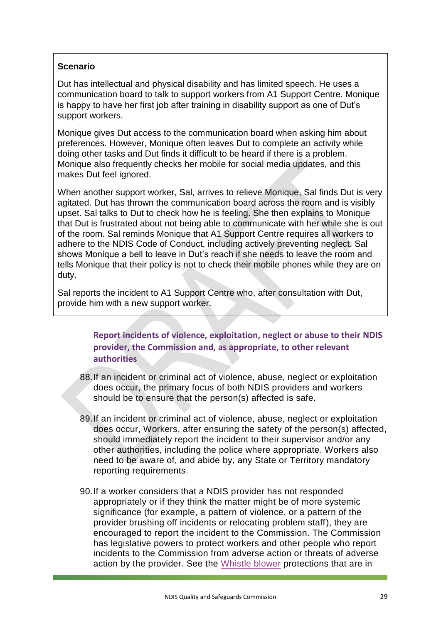Dut has intellectual and physical disability and has limited speech. He uses a communication board to talk to support workers from A1 Support Centre. Monique is happy to have her first job after training in disability support as one of Dut's support workers.

Monique gives Dut access to the communication board when asking him about preferences. However, Monique often leaves Dut to complete an activity while doing other tasks and Dut finds it difficult to be heard if there is a problem. Monique also frequently checks her mobile for social media updates, and this makes Dut feel ignored.

When another support worker, Sal, arrives to relieve Monique, Sal finds Dut is very agitated. Dut has thrown the communication board across the room and is visibly upset. Sal talks to Dut to check how he is feeling. She then explains to Monique that Dut is frustrated about not being able to communicate with her while she is out of the room. Sal reminds Monique that A1 Support Centre requires all workers to adhere to the NDIS Code of Conduct, including actively preventing neglect. Sal shows Monique a bell to leave in Dut's reach if she needs to leave the room and tells Monique that their policy is not to check their mobile phones while they are on duty.

Sal reports the incident to A1 Support Centre who, after consultation with Dut, provide him with a new support worker.

> **Report incidents of violence, exploitation, neglect or abuse to their NDIS provider, the Commission and, as appropriate, to other relevant authorities**

- 88.If an incident or criminal act of violence, abuse, neglect or exploitation does occur, the primary focus of both NDIS providers and workers should be to ensure that the person(s) affected is safe.
- 89.If an incident or criminal act of violence, abuse, neglect or exploitation does occur, Workers, after ensuring the safety of the person(s) affected, should immediately report the incident to their supervisor and/or any other authorities, including the police where appropriate. Workers also need to be aware of, and abide by, any State or Territory mandatory reporting requirements.
- 90.If a worker considers that a NDIS provider has not responded appropriately or if they think the matter might be of more systemic significance (for example, a pattern of violence, or a pattern of the provider brushing off incidents or relocating problem staff), they are encouraged to report the incident to the Commission. The Commission has legislative powers to protect workers and other people who report incidents to the Commission from adverse action or threats of adverse action by the provider. See the [Whistle blower](http://asic.gov.au/about-asic/asic-investigations-and-enforcement/whistleblowing/guidance-for-whistleblowers/) protections that are in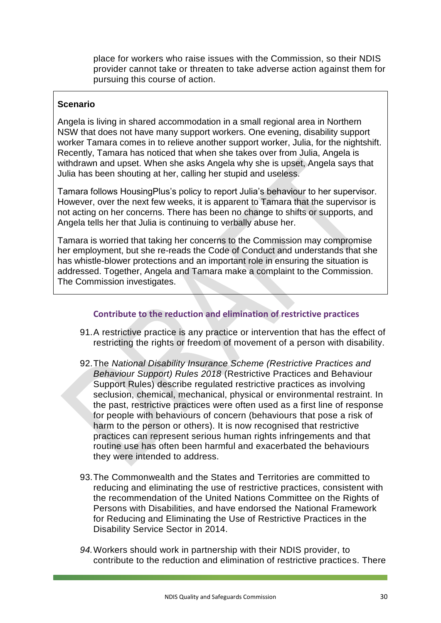place for workers who raise issues with the Commission, so their NDIS provider cannot take or threaten to take adverse action against them for pursuing this course of action.

#### **Scenario**

Angela is living in shared accommodation in a small regional area in Northern NSW that does not have many support workers. One evening, disability support worker Tamara comes in to relieve another support worker, Julia, for the nightshift. Recently, Tamara has noticed that when she takes over from Julia, Angela is withdrawn and upset. When she asks Angela why she is upset, Angela says that Julia has been shouting at her, calling her stupid and useless.

Tamara follows HousingPlus's policy to report Julia's behaviour to her supervisor. However, over the next few weeks, it is apparent to Tamara that the supervisor is not acting on her concerns. There has been no change to shifts or supports, and Angela tells her that Julia is continuing to verbally abuse her.

Tamara is worried that taking her concerns to the Commission may compromise her employment, but she re-reads the Code of Conduct and understands that she has whistle-blower protections and an important role in ensuring the situation is addressed. Together, Angela and Tamara make a complaint to the Commission. The Commission investigates.

#### **Contribute to the reduction and elimination of restrictive practices**

- 91.A restrictive practice is any practice or intervention that has the effect of restricting the rights or freedom of movement of a person with disability.
- 92.The *National Disability Insurance Scheme (Restrictive Practices and Behaviour Support) Rules 2018* (Restrictive Practices and Behaviour Support Rules) describe regulated restrictive practices as involving seclusion, chemical, mechanical, physical or environmental restraint. In the past, restrictive practices were often used as a first line of response for people with behaviours of concern (behaviours that pose a risk of harm to the person or others). It is now recognised that restrictive practices can represent serious human rights infringements and that routine use has often been harmful and exacerbated the behaviours they were intended to address.
- 93.The Commonwealth and the States and Territories are committed to reducing and eliminating the use of restrictive practices, consistent with the recommendation of the United Nations Committee on the Rights of Persons with Disabilities, and have endorsed the National Framework for Reducing and Eliminating the Use of Restrictive Practices in the Disability Service Sector in 2014.
- *94.*Workers should work in partnership with their NDIS provider, to contribute to the reduction and elimination of restrictive practices. There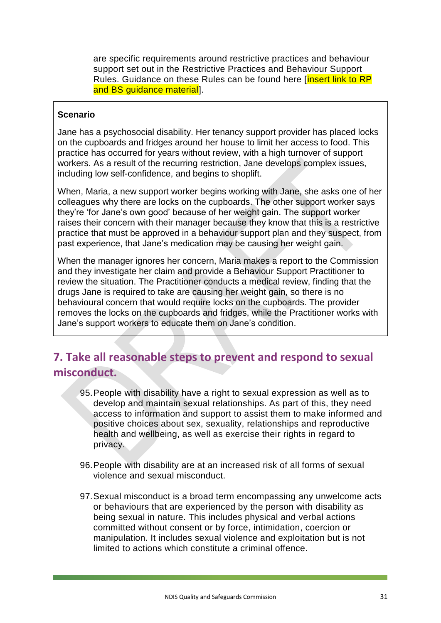are specific requirements around restrictive practices and behaviour support set out in the Restrictive Practices and Behaviour Support Rules. Guidance on these Rules can be found here [insert link to RP and BS guidance material].

#### **Scenario**

Jane has a psychosocial disability. Her tenancy support provider has placed locks on the cupboards and fridges around her house to limit her access to food. This practice has occurred for years without review, with a high turnover of support workers. As a result of the recurring restriction, Jane develops complex issues, including low self-confidence, and begins to shoplift.

When, Maria, a new support worker begins working with Jane, she asks one of her colleagues why there are locks on the cupboards. The other support worker says they're 'for Jane's own good' because of her weight gain. The support worker raises their concern with their manager because they know that this is a restrictive practice that must be approved in a behaviour support plan and they suspect, from past experience, that Jane's medication may be causing her weight gain.

When the manager ignores her concern, Maria makes a report to the Commission and they investigate her claim and provide a Behaviour Support Practitioner to review the situation. The Practitioner conducts a medical review, finding that the drugs Jane is required to take are causing her weight gain, so there is no behavioural concern that would require locks on the cupboards. The provider removes the locks on the cupboards and fridges, while the Practitioner works with Jane's support workers to educate them on Jane's condition.

# <span id="page-31-0"></span>**7. Take all reasonable steps to prevent and respond to sexual misconduct.**

- 95.People with disability have a right to sexual expression as well as to develop and maintain sexual relationships. As part of this, they need access to information and support to assist them to make informed and positive choices about sex, sexuality, relationships and reproductive health and wellbeing, as well as exercise their rights in regard to privacy.
- 96.People with disability are at an increased risk of all forms of sexual violence and sexual misconduct.
- 97.Sexual misconduct is a broad term encompassing any unwelcome acts or behaviours that are experienced by the person with disability as being sexual in nature. This includes physical and verbal actions committed without consent or by force, intimidation, coercion or manipulation. It includes sexual violence and exploitation but is not limited to actions which constitute a criminal offence.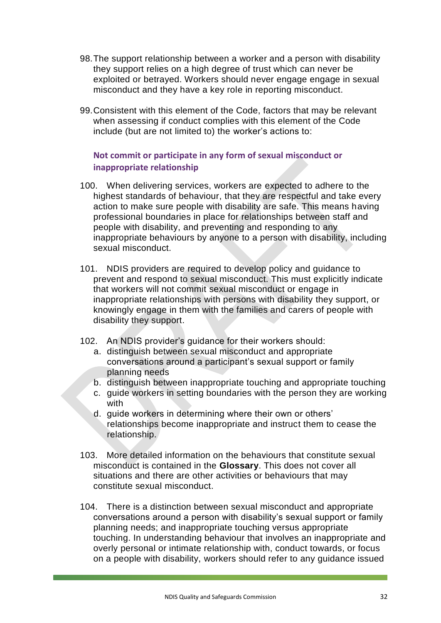- 98.The support relationship between a worker and a person with disability they support relies on a high degree of trust which can never be exploited or betrayed. Workers should never engage engage in sexual misconduct and they have a key role in reporting misconduct.
- 99.Consistent with this element of the Code, factors that may be relevant when assessing if conduct complies with this element of the Code include (but are not limited to) the worker's actions to:

# **Not commit or participate in any form of sexual misconduct or inappropriate relationship**

- 100. When delivering services, workers are expected to adhere to the highest standards of behaviour, that they are respectful and take every action to make sure people with disability are safe. This means having professional boundaries in place for relationships between staff and people with disability, and preventing and responding to any inappropriate behaviours by anyone to a person with disability, including sexual misconduct.
- 101. NDIS providers are required to develop policy and guidance to prevent and respond to sexual misconduct. This must explicitly indicate that workers will not commit sexual misconduct or engage in inappropriate relationships with persons with disability they support, or knowingly engage in them with the families and carers of people with disability they support.
- 102. An NDIS provider's guidance for their workers should:
	- a. distinguish between sexual misconduct and appropriate conversations around a participant's sexual support or family planning needs
	- b. distinguish between inappropriate touching and appropriate touching
	- c. guide workers in setting boundaries with the person they are working with
	- d. guide workers in determining where their own or others' relationships become inappropriate and instruct them to cease the relationship.
- 103. More detailed information on the behaviours that constitute sexual misconduct is contained in the **Glossary**. This does not cover all situations and there are other activities or behaviours that may constitute sexual misconduct.
- 104. There is a distinction between sexual misconduct and appropriate conversations around a person with disability's sexual support or family planning needs; and inappropriate touching versus appropriate touching. In understanding behaviour that involves an inappropriate and overly personal or intimate relationship with, conduct towards, or focus on a people with disability, workers should refer to any guidance issued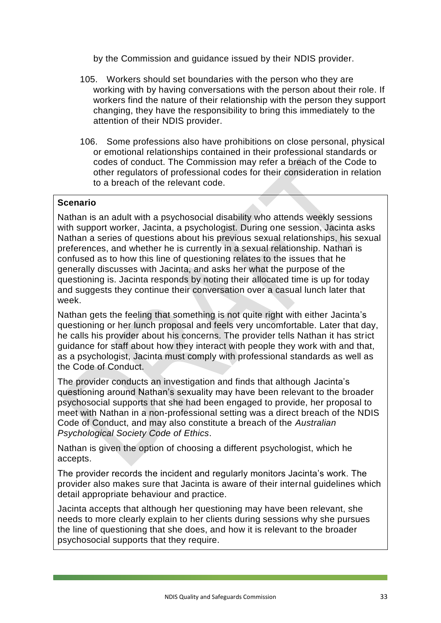by the Commission and guidance issued by their NDIS provider.

- 105. Workers should set boundaries with the person who they are working with by having conversations with the person about their role. If workers find the nature of their relationship with the person they support changing, they have the responsibility to bring this immediately to the attention of their NDIS provider.
- 106. Some professions also have prohibitions on close personal, physical or emotional relationships contained in their professional standards or codes of conduct. The Commission may refer a breach of the Code to other regulators of professional codes for their consideration in relation to a breach of the relevant code.

## **Scenario**

Nathan is an adult with a psychosocial disability who attends weekly sessions with support worker, Jacinta, a psychologist. During one session, Jacinta asks Nathan a series of questions about his previous sexual relationships, his sexual preferences, and whether he is currently in a sexual relationship. Nathan is confused as to how this line of questioning relates to the issues that he generally discusses with Jacinta, and asks her what the purpose of the questioning is. Jacinta responds by noting their allocated time is up for today and suggests they continue their conversation over a casual lunch later that week.

Nathan gets the feeling that something is not quite right with either Jacinta's questioning or her lunch proposal and feels very uncomfortable. Later that day, he calls his provider about his concerns. The provider tells Nathan it has strict guidance for staff about how they interact with people they work with and that, as a psychologist, Jacinta must comply with professional standards as well as the Code of Conduct.

The provider conducts an investigation and finds that although Jacinta's questioning around Nathan's sexuality may have been relevant to the broader psychosocial supports that she had been engaged to provide, her proposal to meet with Nathan in a non-professional setting was a direct breach of the NDIS Code of Conduct, and may also constitute a breach of the *Australian Psychological Society Code of Ethics*.

Nathan is given the option of choosing a different psychologist, which he accepts.

The provider records the incident and regularly monitors Jacinta's work. The provider also makes sure that Jacinta is aware of their internal guidelines which detail appropriate behaviour and practice.

Jacinta accepts that although her questioning may have been relevant, she needs to more clearly explain to her clients during sessions why she pursues the line of questioning that she does, and how it is relevant to the broader psychosocial supports that they require.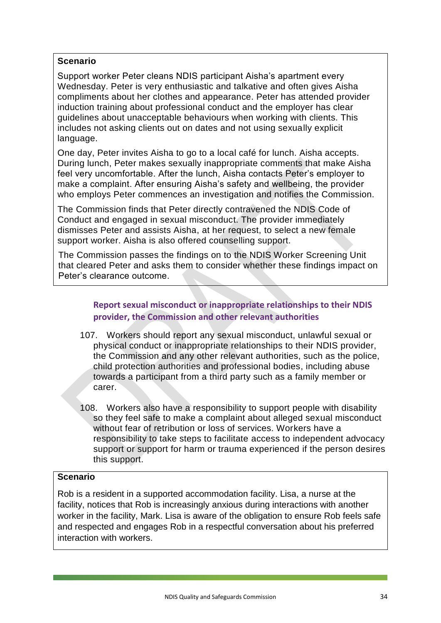Support worker Peter cleans NDIS participant Aisha's apartment every Wednesday. Peter is very enthusiastic and talkative and often gives Aisha compliments about her clothes and appearance. Peter has attended provider induction training about professional conduct and the employer has clear guidelines about unacceptable behaviours when working with clients. This includes not asking clients out on dates and not using sexually explicit language.

One day, Peter invites Aisha to go to a local café for lunch. Aisha accepts. During lunch, Peter makes sexually inappropriate comments that make Aisha feel very uncomfortable. After the lunch, Aisha contacts Peter's employer to make a complaint. After ensuring Aisha's safety and wellbeing, the provider who employs Peter commences an investigation and notifies the Commission.

The Commission finds that Peter directly contravened the NDIS Code of Conduct and engaged in sexual misconduct. The provider immediately dismisses Peter and assists Aisha, at her request, to select a new female support worker. Aisha is also offered counselling support.

The Commission passes the findings on to the NDIS Worker Screening Unit that cleared Peter and asks them to consider whether these findings impact on Peter's clearance outcome.

# **Report sexual misconduct or inappropriate relationships to their NDIS provider, the Commission and other relevant authorities**

- 107. Workers should report any sexual misconduct, unlawful sexual or physical conduct or inappropriate relationships to their NDIS provider, the Commission and any other relevant authorities, such as the police, child protection authorities and professional bodies, including abuse towards a participant from a third party such as a family member or carer.
- 108. Workers also have a responsibility to support people with disability so they feel safe to make a complaint about alleged sexual misconduct without fear of retribution or loss of services. Workers have a responsibility to take steps to facilitate access to independent advocacy support or support for harm or trauma experienced if the person desires this support.

# **Scenario**

Rob is a resident in a supported accommodation facility. Lisa, a nurse at the facility, notices that Rob is increasingly anxious during interactions with another worker in the facility, Mark. Lisa is aware of the obligation to ensure Rob feels safe and respected and engages Rob in a respectful conversation about his preferred interaction with workers.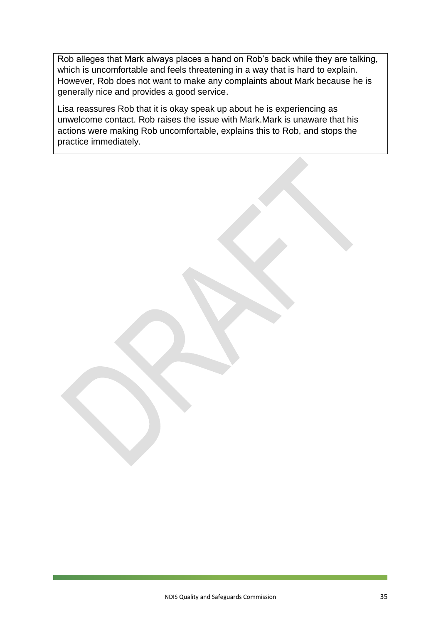Rob alleges that Mark always places a hand on Rob's back while they are talking, which is uncomfortable and feels threatening in a way that is hard to explain. However, Rob does not want to make any complaints about Mark because he is generally nice and provides a good service.

Lisa reassures Rob that it is okay speak up about he is experiencing as unwelcome contact. Rob raises the issue with Mark.Mark is unaware that his actions were making Rob uncomfortable, explains this to Rob, and stops the practice immediately.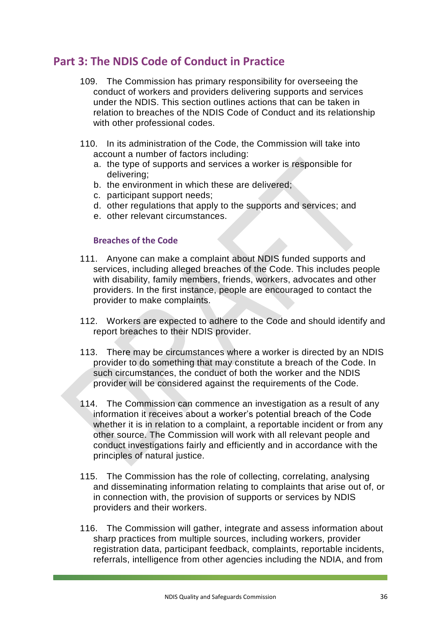# <span id="page-36-0"></span>**Part 3: The NDIS Code of Conduct in Practice**

- 109. The Commission has primary responsibility for overseeing the conduct of workers and providers delivering supports and services under the NDIS. This section outlines actions that can be taken in relation to breaches of the NDIS Code of Conduct and its relationship with other professional codes.
- 110. In its administration of the Code, the Commission will take into account a number of factors including:
	- a. the type of supports and services a worker is responsible for delivering;
	- b. the environment in which these are delivered;
	- c. participant support needs;
	- d. other regulations that apply to the supports and services; and
	- e. other relevant circumstances.

#### **Breaches of the Code**

- 111. Anyone can make a complaint about NDIS funded supports and services, including alleged breaches of the Code. This includes people with disability, family members, friends, workers, advocates and other providers. In the first instance, people are encouraged to contact the provider to make complaints.
- 112. Workers are expected to adhere to the Code and should identify and report breaches to their NDIS provider.
- 113. There may be circumstances where a worker is directed by an NDIS provider to do something that may constitute a breach of the Code. In such circumstances, the conduct of both the worker and the NDIS provider will be considered against the requirements of the Code.
- 114. The Commission can commence an investigation as a result of any information it receives about a worker's potential breach of the Code whether it is in relation to a complaint, a reportable incident or from any other source. The Commission will work with all relevant people and conduct investigations fairly and efficiently and in accordance with the principles of natural justice.
- 115. The Commission has the role of collecting, correlating, analysing and disseminating information relating to complaints that arise out of, or in connection with, the provision of supports or services by NDIS providers and their workers.
- 116. The Commission will gather, integrate and assess information about sharp practices from multiple sources, including workers, provider registration data, participant feedback, complaints, reportable incidents, referrals, intelligence from other agencies including the NDIA, and from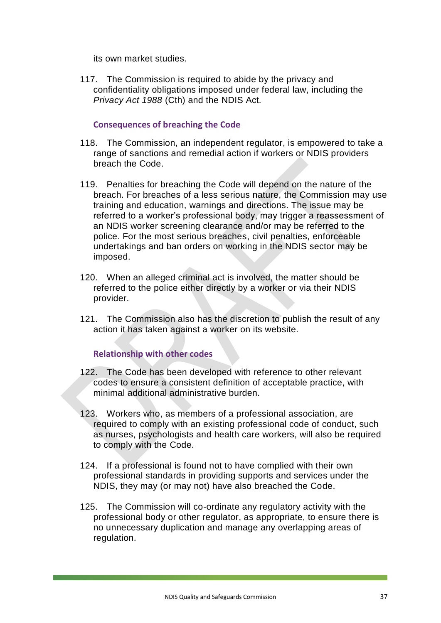its own market studies.

117. The Commission is required to abide by the privacy and confidentiality obligations imposed under federal law, including the *Privacy Act 1988* (Cth) and the NDIS Act*.* 

#### **Consequences of breaching the Code**

- 118. The Commission, an independent regulator, is empowered to take a range of sanctions and remedial action if workers or NDIS providers breach the Code.
- 119. Penalties for breaching the Code will depend on the nature of the breach. For breaches of a less serious nature, the Commission may use training and education, warnings and directions. The issue may be referred to a worker's professional body, may trigger a reassessment of an NDIS worker screening clearance and/or may be referred to the police. For the most serious breaches, civil penalties, enforceable undertakings and ban orders on working in the NDIS sector may be imposed.
- 120. When an alleged criminal act is involved, the matter should be referred to the police either directly by a worker or via their NDIS provider.
- 121. The Commission also has the discretion to publish the result of any action it has taken against a worker on its website.

#### **Relationship with other codes**

- 122. The Code has been developed with reference to other relevant codes to ensure a consistent definition of acceptable practice, with minimal additional administrative burden.
- 123. Workers who, as members of a professional association, are required to comply with an existing professional code of conduct, such as nurses, psychologists and health care workers, will also be required to comply with the Code.
- 124. If a professional is found not to have complied with their own professional standards in providing supports and services under the NDIS, they may (or may not) have also breached the Code.
- 125. The Commission will co-ordinate any regulatory activity with the professional body or other regulator, as appropriate, to ensure there is no unnecessary duplication and manage any overlapping areas of regulation.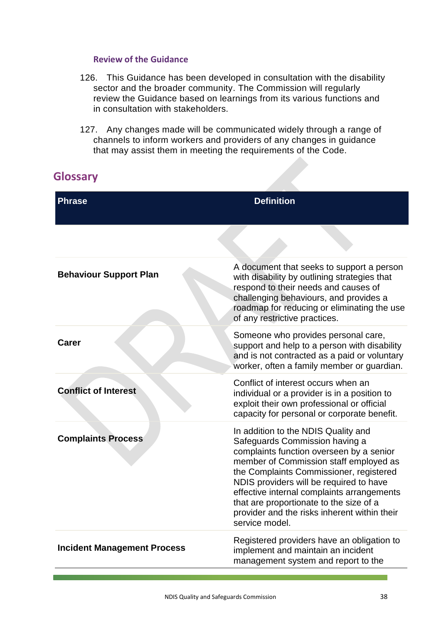#### **Review of the Guidance**

- 126. This Guidance has been developed in consultation with the disability sector and the broader community. The Commission will regularly review the Guidance based on learnings from its various functions and in consultation with stakeholders.
- 127. Any changes made will be communicated widely through a range of channels to inform workers and providers of any changes in guidance that may assist them in meeting the requirements of the Code.

# <span id="page-38-0"></span>**Glossary**

| <b>Phrase</b>                      | <b>Definition</b>                                                                                                                                                                                                                                                                                                                                                                                            |
|------------------------------------|--------------------------------------------------------------------------------------------------------------------------------------------------------------------------------------------------------------------------------------------------------------------------------------------------------------------------------------------------------------------------------------------------------------|
|                                    |                                                                                                                                                                                                                                                                                                                                                                                                              |
| <b>Behaviour Support Plan</b>      | A document that seeks to support a person<br>with disability by outlining strategies that<br>respond to their needs and causes of<br>challenging behaviours, and provides a<br>roadmap for reducing or eliminating the use<br>of any restrictive practices.                                                                                                                                                  |
| <b>Carer</b>                       | Someone who provides personal care,<br>support and help to a person with disability<br>and is not contracted as a paid or voluntary<br>worker, often a family member or guardian.                                                                                                                                                                                                                            |
| <b>Conflict of Interest</b>        | Conflict of interest occurs when an<br>individual or a provider is in a position to<br>exploit their own professional or official<br>capacity for personal or corporate benefit.                                                                                                                                                                                                                             |
| <b>Complaints Process</b>          | In addition to the NDIS Quality and<br>Safeguards Commission having a<br>complaints function overseen by a senior<br>member of Commission staff employed as<br>the Complaints Commissioner, registered<br>NDIS providers will be required to have<br>effective internal complaints arrangements<br>that are proportionate to the size of a<br>provider and the risks inherent within their<br>service model. |
| <b>Incident Management Process</b> | Registered providers have an obligation to<br>implement and maintain an incident<br>management system and report to the                                                                                                                                                                                                                                                                                      |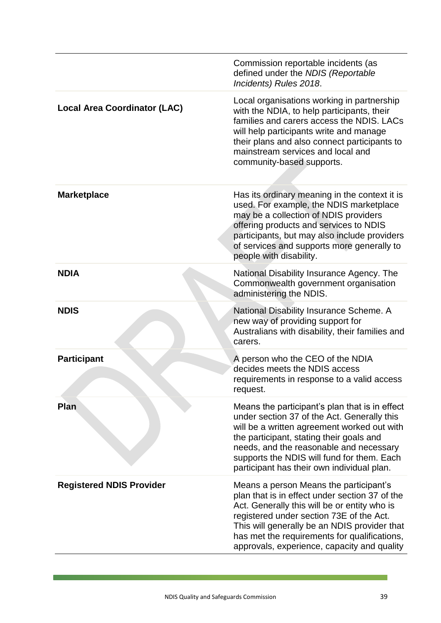|                                     | Commission reportable incidents (as<br>defined under the NDIS (Reportable<br>Incidents) Rules 2018.                                                                                                                                                                                                                                 |
|-------------------------------------|-------------------------------------------------------------------------------------------------------------------------------------------------------------------------------------------------------------------------------------------------------------------------------------------------------------------------------------|
| <b>Local Area Coordinator (LAC)</b> | Local organisations working in partnership<br>with the NDIA, to help participants, their<br>families and carers access the NDIS. LACs<br>will help participants write and manage<br>their plans and also connect participants to<br>mainstream services and local and<br>community-based supports.                                  |
| <b>Marketplace</b>                  | Has its ordinary meaning in the context it is<br>used. For example, the NDIS marketplace<br>may be a collection of NDIS providers<br>offering products and services to NDIS<br>participants, but may also include providers<br>of services and supports more generally to<br>people with disability.                                |
| <b>NDIA</b>                         | National Disability Insurance Agency. The<br>Commonwealth government organisation<br>administering the NDIS.                                                                                                                                                                                                                        |
| <b>NDIS</b>                         | National Disability Insurance Scheme. A<br>new way of providing support for<br>Australians with disability, their families and<br>carers.                                                                                                                                                                                           |
| <b>Participant</b>                  | A person who the CEO of the NDIA<br>decides meets the NDIS access<br>requirements in response to a valid access<br>request.                                                                                                                                                                                                         |
| Plan                                | Means the participant's plan that is in effect<br>under section 37 of the Act. Generally this<br>will be a written agreement worked out with<br>the participant, stating their goals and<br>needs, and the reasonable and necessary<br>supports the NDIS will fund for them. Each<br>participant has their own individual plan.     |
| <b>Registered NDIS Provider</b>     | Means a person Means the participant's<br>plan that is in effect under section 37 of the<br>Act. Generally this will be or entity who is<br>registered under section 73E of the Act.<br>This will generally be an NDIS provider that<br>has met the requirements for qualifications,<br>approvals, experience, capacity and quality |

<u> La componente de la componente de la componente de la componente de la componente de la componente de la compo</u>

<u> 1989 - Johann Barnett, mars et</u>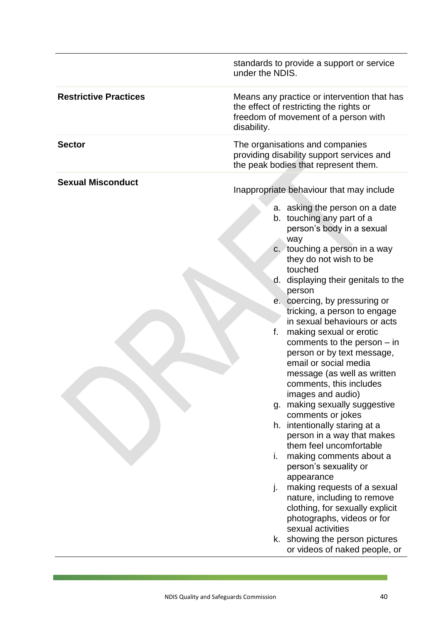|                              | standards to provide a support or service<br>under the NDIS.                                                                                                                                                                                                                                                                                                                                                                                                                                                                                                                                                                                                                                                                                                                                                                                                                                                                                                                                                                     |
|------------------------------|----------------------------------------------------------------------------------------------------------------------------------------------------------------------------------------------------------------------------------------------------------------------------------------------------------------------------------------------------------------------------------------------------------------------------------------------------------------------------------------------------------------------------------------------------------------------------------------------------------------------------------------------------------------------------------------------------------------------------------------------------------------------------------------------------------------------------------------------------------------------------------------------------------------------------------------------------------------------------------------------------------------------------------|
| <b>Restrictive Practices</b> | Means any practice or intervention that has<br>the effect of restricting the rights or<br>freedom of movement of a person with<br>disability.                                                                                                                                                                                                                                                                                                                                                                                                                                                                                                                                                                                                                                                                                                                                                                                                                                                                                    |
| <b>Sector</b>                | The organisations and companies<br>providing disability support services and<br>the peak bodies that represent them.                                                                                                                                                                                                                                                                                                                                                                                                                                                                                                                                                                                                                                                                                                                                                                                                                                                                                                             |
| <b>Sexual Misconduct</b>     | Inappropriate behaviour that may include<br>a. asking the person on a date<br>b. touching any part of a<br>person's body in a sexual<br>way<br>c. touching a person in a way<br>they do not wish to be<br>touched<br>d. displaying their genitals to the<br>person<br>e. coercing, by pressuring or<br>tricking, a person to engage<br>in sexual behaviours or acts<br>f.<br>making sexual or erotic<br>comments to the person $-$ in<br>person or by text message,<br>email or social media<br>message (as well as written<br>comments, this includes<br>images and audio)<br>g. making sexually suggestive<br>comments or jokes<br>h. intentionally staring at a<br>person in a way that makes<br>them feel uncomfortable<br>making comments about a<br>i.<br>person's sexuality or<br>appearance<br>making requests of a sexual<br>j.<br>nature, including to remove<br>clothing, for sexually explicit<br>photographs, videos or for<br>sexual activities<br>k. showing the person pictures<br>or videos of naked people, or |

<u>i da bara da kasas da bara da bara da bara da bara da bara da bara da bara da bara da bara da bara da bara da </u>

<u> 1989 - Johann Barnett, mars et al. 19</u>